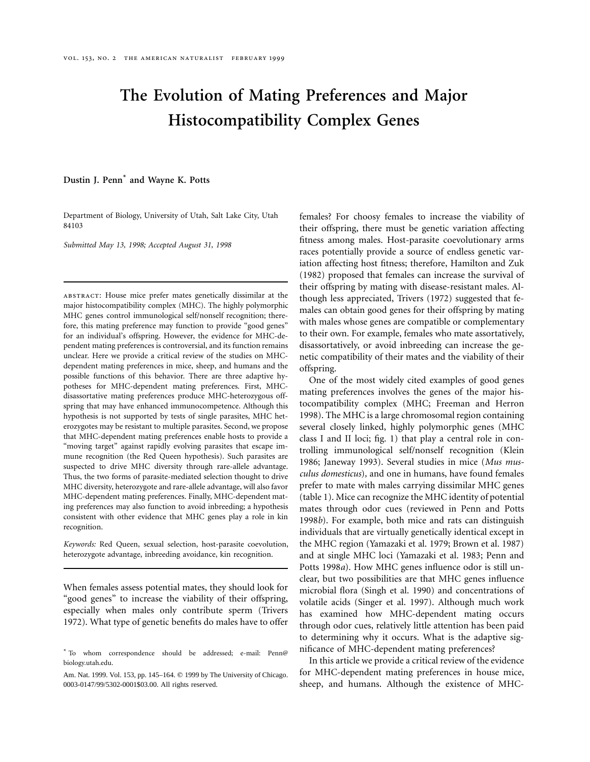# **The Evolution of Mating Preferences and Major Histocompatibility Complex Genes**

**Dustin J. Penn\* and Wayne K. Potts**

Department of Biology, University of Utah, Salt Lake City, Utah 84103

*Submitted May 13, 1998; Accepted August 31, 1998*

abstract: House mice prefer mates genetically dissimilar at the major histocompatibility complex (MHC). The highly polymorphic MHC genes control immunological self/nonself recognition; therefore, this mating preference may function to provide "good genes" for an individual's offspring. However, the evidence for MHC-dependent mating preferences is controversial, and its function remains unclear. Here we provide a critical review of the studies on MHCdependent mating preferences in mice, sheep, and humans and the possible functions of this behavior. There are three adaptive hypotheses for MHC-dependent mating preferences. First, MHCdisassortative mating preferences produce MHC-heterozygous offspring that may have enhanced immunocompetence. Although this hypothesis is not supported by tests of single parasites, MHC heterozygotes may be resistant to multiple parasites. Second, we propose that MHC-dependent mating preferences enable hosts to provide a "moving target" against rapidly evolving parasites that escape immune recognition (the Red Queen hypothesis). Such parasites are suspected to drive MHC diversity through rare-allele advantage. Thus, the two forms of parasite-mediated selection thought to drive MHC diversity, heterozygote and rare-allele advantage, will also favor MHC-dependent mating preferences. Finally, MHC-dependent mating preferences may also function to avoid inbreeding; a hypothesis consistent with other evidence that MHC genes play a role in kin recognition.

*Keywords:* Red Queen, sexual selection, host-parasite coevolution, heterozygote advantage, inbreeding avoidance, kin recognition.

When females assess potential mates, they should look for "good genes" to increase the viability of their offspring, especially when males only contribute sperm (Trivers 1972). What type of genetic benefits do males have to offer females? For choosy females to increase the viability of their offspring, there must be genetic variation affecting fitness among males. Host-parasite coevolutionary arms races potentially provide a source of endless genetic variation affecting host fitness; therefore, Hamilton and Zuk (1982) proposed that females can increase the survival of their offspring by mating with disease-resistant males. Although less appreciated, Trivers (1972) suggested that females can obtain good genes for their offspring by mating with males whose genes are compatible or complementary to their own. For example, females who mate assortatively, disassortatively, or avoid inbreeding can increase the genetic compatibility of their mates and the viability of their offspring.

One of the most widely cited examples of good genes mating preferences involves the genes of the major histocompatibility complex (MHC; Freeman and Herron 1998). The MHC is a large chromosomal region containing several closely linked, highly polymorphic genes (MHC class I and II loci; fig. 1) that play a central role in controlling immunological self/nonself recognition (Klein 1986; Janeway 1993). Several studies in mice (*Mus musculus domesticus*)*,* and one in humans, have found females prefer to mate with males carrying dissimilar MHC genes (table 1). Mice can recognize the MHC identity of potential mates through odor cues (reviewed in Penn and Potts 1998*b*). For example, both mice and rats can distinguish individuals that are virtually genetically identical except in the MHC region (Yamazaki et al. 1979; Brown et al. 1987) and at single MHC loci (Yamazaki et al. 1983; Penn and Potts 1998*a*). How MHC genes influence odor is still unclear, but two possibilities are that MHC genes influence microbial flora (Singh et al. 1990) and concentrations of volatile acids (Singer et al. 1997). Although much work has examined how MHC-dependent mating occurs through odor cues, relatively little attention has been paid to determining why it occurs. What is the adaptive significance of MHC-dependent mating preferences?

In this article we provide a critical review of the evidence for MHC-dependent mating preferences in house mice, sheep, and humans. Although the existence of MHC-

<sup>\*</sup> To whom correspondence should be addressed; e-mail: Penn@ biology.utah.edu.

Am. Nat. 1999. Vol. 153, pp. 145-164. © 1999 by The University of Chicago. 0003-0147/99/5302-0001\$03.00. All rights reserved.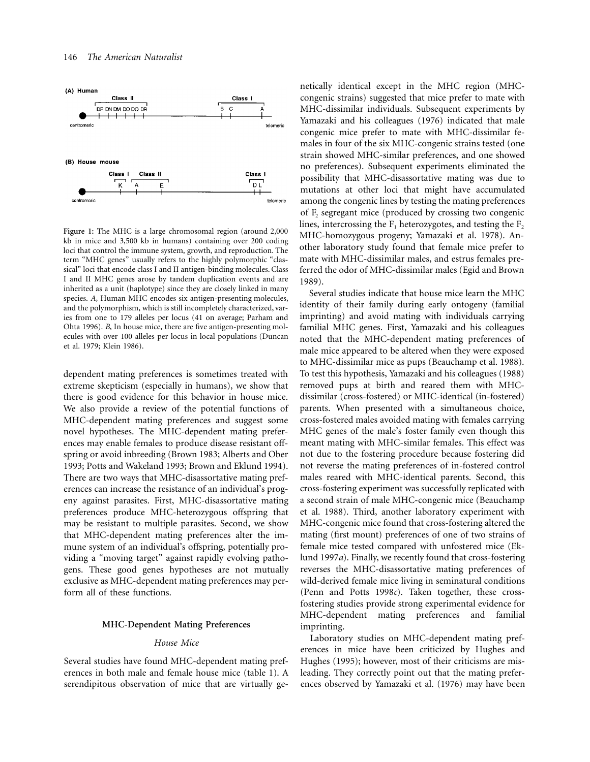

**Figure 1:** The MHC is a large chromosomal region (around 2,000 kb in mice and 3,500 kb in humans) containing over 200 coding loci that control the immune system, growth, and reproduction. The term "MHC genes" usually refers to the highly polymorphic "classical" loci that encode class I and II antigen-binding molecules. Class I and II MHC genes arose by tandem duplication events and are inherited as a unit (haplotype) since they are closely linked in many species. *A*, Human MHC encodes six antigen-presenting molecules, and the polymorphism, which is still incompletely characterized, varies from one to 179 alleles per locus (41 on average; Parham and Ohta 1996). *B*, In house mice, there are five antigen-presenting molecules with over 100 alleles per locus in local populations (Duncan et al. 1979; Klein 1986).

dependent mating preferences is sometimes treated with extreme skepticism (especially in humans), we show that there is good evidence for this behavior in house mice. We also provide a review of the potential functions of MHC-dependent mating preferences and suggest some novel hypotheses. The MHC-dependent mating preferences may enable females to produce disease resistant offspring or avoid inbreeding (Brown 1983; Alberts and Ober 1993; Potts and Wakeland 1993; Brown and Eklund 1994). There are two ways that MHC-disassortative mating preferences can increase the resistance of an individual's progeny against parasites. First, MHC-disassortative mating preferences produce MHC-heterozygous offspring that may be resistant to multiple parasites. Second, we show that MHC-dependent mating preferences alter the immune system of an individual's offspring, potentially providing a "moving target" against rapidly evolving pathogens. These good genes hypotheses are not mutually exclusive as MHC-dependent mating preferences may perform all of these functions.

# **MHC-Dependent Mating Preferences**

#### *House Mice*

Several studies have found MHC-dependent mating preferences in both male and female house mice (table 1). A serendipitous observation of mice that are virtually ge-

netically identical except in the MHC region (MHCcongenic strains) suggested that mice prefer to mate with MHC-dissimilar individuals. Subsequent experiments by Yamazaki and his colleagues (1976) indicated that male congenic mice prefer to mate with MHC-dissimilar females in four of the six MHC-congenic strains tested (one strain showed MHC-similar preferences, and one showed no preferences). Subsequent experiments eliminated the possibility that MHC-disassortative mating was due to mutations at other loci that might have accumulated among the congenic lines by testing the mating preferences of  $F<sub>2</sub>$  segregant mice (produced by crossing two congenic lines, intercrossing the  $F_1$  heterozygotes, and testing the  $F_2$ MHC-homozygous progeny; Yamazaki et al. 1978). Another laboratory study found that female mice prefer to mate with MHC-dissimilar males, and estrus females preferred the odor of MHC-dissimilar males (Egid and Brown 1989).

Several studies indicate that house mice learn the MHC identity of their family during early ontogeny (familial imprinting) and avoid mating with individuals carrying familial MHC genes. First, Yamazaki and his colleagues noted that the MHC-dependent mating preferences of male mice appeared to be altered when they were exposed to MHC-dissimilar mice as pups (Beauchamp et al. 1988). To test this hypothesis, Yamazaki and his colleagues (1988) removed pups at birth and reared them with MHCdissimilar (cross-fostered) or MHC-identical (in-fostered) parents. When presented with a simultaneous choice, cross-fostered males avoided mating with females carrying MHC genes of the male's foster family even though this meant mating with MHC-similar females. This effect was not due to the fostering procedure because fostering did not reverse the mating preferences of in-fostered control males reared with MHC-identical parents. Second, this cross-fostering experiment was successfully replicated with a second strain of male MHC-congenic mice (Beauchamp et al. 1988). Third, another laboratory experiment with MHC-congenic mice found that cross-fostering altered the mating (first mount) preferences of one of two strains of female mice tested compared with unfostered mice (Eklund 1997*a*). Finally, we recently found that cross-fostering reverses the MHC-disassortative mating preferences of wild-derived female mice living in seminatural conditions (Penn and Potts 1998*c*). Taken together, these crossfostering studies provide strong experimental evidence for MHC-dependent mating preferences and familial imprinting.

Laboratory studies on MHC-dependent mating preferences in mice have been criticized by Hughes and Hughes (1995); however, most of their criticisms are misleading. They correctly point out that the mating preferences observed by Yamazaki et al. (1976) may have been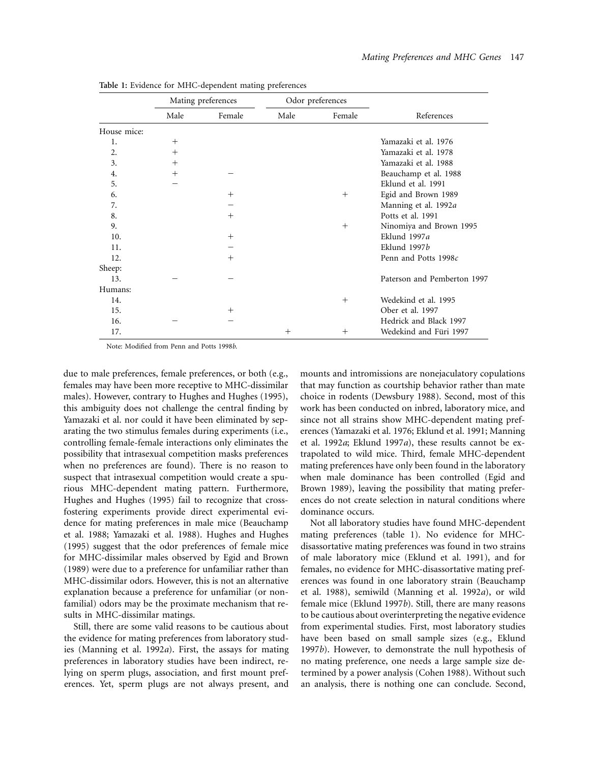|                  | Mating preferences |        | Odor preferences |        |                             |
|------------------|--------------------|--------|------------------|--------|-----------------------------|
|                  | Male               | Female | Male             | Female | References                  |
| House mice:      |                    |        |                  |        |                             |
| 1.               | $^{+}$             |        |                  |        | Yamazaki et al. 1976        |
| 2.               | $^{+}$             |        |                  |        | Yamazaki et al. 1978        |
| 3.               | $^{+}$             |        |                  |        | Yamazaki et al. 1988        |
| $\overline{4}$ . | $^{+}$             |        |                  |        | Beauchamp et al. 1988       |
| 5.               |                    |        |                  |        | Eklund et al. 1991          |
| 6.               |                    | $^{+}$ |                  | $^{+}$ | Egid and Brown 1989         |
| 7.               |                    |        |                  |        | Manning et al. 1992a        |
| 8.               |                    | $^{+}$ |                  |        | Potts et al. 1991           |
| 9.               |                    |        |                  | $^{+}$ | Ninomiya and Brown 1995     |
| 10.              |                    | $^{+}$ |                  |        | Eklund 1997a                |
| 11.              |                    |        |                  |        | Eklund 1997b                |
| 12.              |                    | $^{+}$ |                  |        | Penn and Potts 1998c        |
| Sheep:           |                    |        |                  |        |                             |
| 13.              |                    |        |                  |        | Paterson and Pemberton 1997 |
| Humans:          |                    |        |                  |        |                             |
| 14.              |                    |        |                  | $^{+}$ | Wedekind et al. 1995        |
| 15.              |                    | $^{+}$ |                  |        | Ober et al. 1997            |
| 16.              |                    |        |                  |        | Hedrick and Black 1997      |
| 17.              |                    |        | $^{+}$           | $^{+}$ | Wedekind and Füri 1997      |

**Table 1:** Evidence for MHC-dependent mating preferences

Note: Modified from Penn and Potts 1998*b*.

due to male preferences, female preferences, or both (e.g., females may have been more receptive to MHC-dissimilar males). However, contrary to Hughes and Hughes (1995), this ambiguity does not challenge the central finding by Yamazaki et al. nor could it have been eliminated by separating the two stimulus females during experiments (i.e., controlling female-female interactions only eliminates the possibility that intrasexual competition masks preferences when no preferences are found). There is no reason to suspect that intrasexual competition would create a spurious MHC-dependent mating pattern. Furthermore, Hughes and Hughes (1995) fail to recognize that crossfostering experiments provide direct experimental evidence for mating preferences in male mice (Beauchamp et al. 1988; Yamazaki et al. 1988). Hughes and Hughes (1995) suggest that the odor preferences of female mice for MHC-dissimilar males observed by Egid and Brown (1989) were due to a preference for unfamiliar rather than MHC-dissimilar odors. However, this is not an alternative explanation because a preference for unfamiliar (or nonfamilial) odors may be the proximate mechanism that results in MHC-dissimilar matings.

Still, there are some valid reasons to be cautious about the evidence for mating preferences from laboratory studies (Manning et al. 1992*a*). First, the assays for mating preferences in laboratory studies have been indirect, relying on sperm plugs, association, and first mount preferences. Yet, sperm plugs are not always present, and mounts and intromissions are nonejaculatory copulations that may function as courtship behavior rather than mate choice in rodents (Dewsbury 1988). Second, most of this work has been conducted on inbred, laboratory mice, and since not all strains show MHC-dependent mating preferences (Yamazaki et al. 1976; Eklund et al. 1991; Manning et al. 1992*a*; Eklund 1997*a*), these results cannot be extrapolated to wild mice. Third, female MHC-dependent mating preferences have only been found in the laboratory when male dominance has been controlled (Egid and Brown 1989), leaving the possibility that mating preferences do not create selection in natural conditions where dominance occurs.

Not all laboratory studies have found MHC-dependent mating preferences (table 1). No evidence for MHCdisassortative mating preferences was found in two strains of male laboratory mice (Eklund et al. 1991), and for females, no evidence for MHC-disassortative mating preferences was found in one laboratory strain (Beauchamp et al. 1988), semiwild (Manning et al. 1992*a*), or wild female mice (Eklund 1997*b*). Still, there are many reasons to be cautious about overinterpreting the negative evidence from experimental studies. First, most laboratory studies have been based on small sample sizes (e.g., Eklund 1997*b*). However, to demonstrate the null hypothesis of no mating preference, one needs a large sample size determined by a power analysis (Cohen 1988). Without such an analysis, there is nothing one can conclude. Second,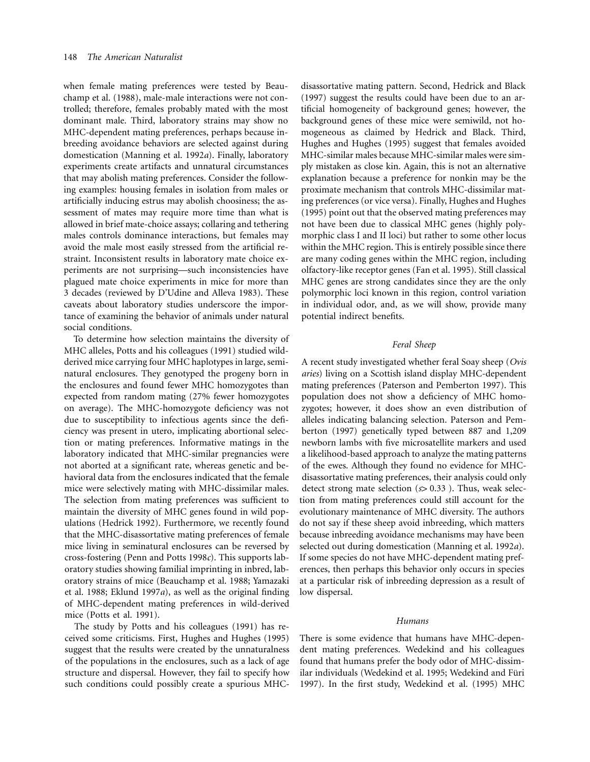when female mating preferences were tested by Beauchamp et al. (1988), male-male interactions were not controlled; therefore, females probably mated with the most dominant male. Third, laboratory strains may show no MHC-dependent mating preferences, perhaps because inbreeding avoidance behaviors are selected against during domestication (Manning et al. 1992*a*). Finally, laboratory experiments create artifacts and unnatural circumstances that may abolish mating preferences. Consider the following examples: housing females in isolation from males or artificially inducing estrus may abolish choosiness; the assessment of mates may require more time than what is allowed in brief mate-choice assays; collaring and tethering males controls dominance interactions, but females may avoid the male most easily stressed from the artificial restraint. Inconsistent results in laboratory mate choice experiments are not surprising—such inconsistencies have plagued mate choice experiments in mice for more than 3 decades (reviewed by D'Udine and Alleva 1983). These caveats about laboratory studies underscore the importance of examining the behavior of animals under natural social conditions*.*

To determine how selection maintains the diversity of MHC alleles, Potts and his colleagues (1991) studied wildderived mice carrying four MHC haplotypes in large, seminatural enclosures. They genotyped the progeny born in the enclosures and found fewer MHC homozygotes than expected from random mating (27% fewer homozygotes on average). The MHC-homozygote deficiency was not due to susceptibility to infectious agents since the deficiency was present in utero, implicating abortional selection or mating preferences. Informative matings in the laboratory indicated that MHC-similar pregnancies were not aborted at a significant rate, whereas genetic and behavioral data from the enclosures indicated that the female mice were selectively mating with MHC-dissimilar males. The selection from mating preferences was sufficient to maintain the diversity of MHC genes found in wild populations (Hedrick 1992). Furthermore, we recently found that the MHC-disassortative mating preferences of female mice living in seminatural enclosures can be reversed by cross-fostering (Penn and Potts 1998*c*). This supports laboratory studies showing familial imprinting in inbred, laboratory strains of mice (Beauchamp et al. 1988; Yamazaki et al. 1988; Eklund 1997*a*), as well as the original finding of MHC-dependent mating preferences in wild-derived mice (Potts et al. 1991).

The study by Potts and his colleagues (1991) has received some criticisms. First, Hughes and Hughes (1995) suggest that the results were created by the unnaturalness of the populations in the enclosures, such as a lack of age structure and dispersal. However, they fail to specify how such conditions could possibly create a spurious MHC-

disassortative mating pattern. Second, Hedrick and Black (1997) suggest the results could have been due to an artificial homogeneity of background genes; however, the background genes of these mice were semiwild, not homogeneous as claimed by Hedrick and Black. Third, Hughes and Hughes (1995) suggest that females avoided MHC-similar males because MHC-similar males were simply mistaken as close kin. Again, this is not an alternative explanation because a preference for nonkin may be the proximate mechanism that controls MHC-dissimilar mating preferences (or vice versa). Finally, Hughes and Hughes (1995) point out that the observed mating preferences may not have been due to classical MHC genes (highly polymorphic class I and II loci) but rather to some other locus within the MHC region. This is entirely possible since there are many coding genes within the MHC region, including olfactory-like receptor genes (Fan et al. 1995). Still classical MHC genes are strong candidates since they are the only polymorphic loci known in this region, control variation in individual odor, and, as we will show, provide many potential indirect benefits.

#### *Feral Sheep*

A recent study investigated whether feral Soay sheep (*Ovis aries*) living on a Scottish island display MHC-dependent mating preferences (Paterson and Pemberton 1997). This population does not show a deficiency of MHC homozygotes; however, it does show an even distribution of alleles indicating balancing selection. Paterson and Pemberton (1997) genetically typed between 887 and 1,209 newborn lambs with five microsatellite markers and used a likelihood-based approach to analyze the mating patterns of the ewes. Although they found no evidence for MHCdisassortative mating preferences, their analysis could only detect strong mate selection ( $\lesssim 0.33$ ). Thus, weak selection from mating preferences could still account for the evolutionary maintenance of MHC diversity. The authors do not say if these sheep avoid inbreeding, which matters because inbreeding avoidance mechanisms may have been selected out during domestication (Manning et al. 1992*a*). If some species do not have MHC-dependent mating preferences, then perhaps this behavior only occurs in species at a particular risk of inbreeding depression as a result of low dispersal.

#### *Humans*

There is some evidence that humans have MHC-dependent mating preferences. Wedekind and his colleagues found that humans prefer the body odor of MHC-dissimilar individuals (Wedekind et al. 1995; Wedekind and Füri 1997). In the first study, Wedekind et al. (1995) MHC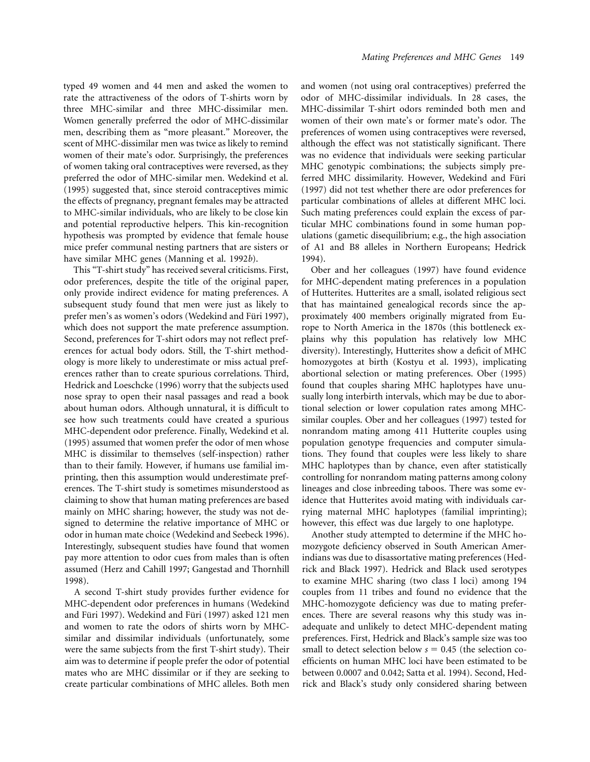typed 49 women and 44 men and asked the women to rate the attractiveness of the odors of T-shirts worn by three MHC-similar and three MHC-dissimilar men. Women generally preferred the odor of MHC-dissimilar men, describing them as "more pleasant." Moreover, the scent of MHC-dissimilar men was twice as likely to remind women of their mate's odor. Surprisingly, the preferences of women taking oral contraceptives were reversed, as they preferred the odor of MHC-similar men. Wedekind et al. (1995) suggested that, since steroid contraceptives mimic the effects of pregnancy, pregnant females may be attracted to MHC-similar individuals, who are likely to be close kin and potential reproductive helpers. This kin-recognition hypothesis was prompted by evidence that female house mice prefer communal nesting partners that are sisters or have similar MHC genes (Manning et al. 1992*b*).

This "T-shirt study" has received several criticisms. First, odor preferences, despite the title of the original paper, only provide indirect evidence for mating preferences. A subsequent study found that men were just as likely to prefer men's as women's odors (Wedekind and Füri 1997), which does not support the mate preference assumption. Second, preferences for T-shirt odors may not reflect preferences for actual body odors. Still, the T-shirt methodology is more likely to underestimate or miss actual preferences rather than to create spurious correlations. Third, Hedrick and Loeschcke (1996) worry that the subjects used nose spray to open their nasal passages and read a book about human odors. Although unnatural, it is difficult to see how such treatments could have created a spurious MHC-dependent odor preference. Finally, Wedekind et al. (1995) assumed that women prefer the odor of men whose MHC is dissimilar to themselves (self-inspection) rather than to their family. However, if humans use familial imprinting, then this assumption would underestimate preferences. The T-shirt study is sometimes misunderstood as claiming to show that human mating preferences are based mainly on MHC sharing; however, the study was not designed to determine the relative importance of MHC or odor in human mate choice (Wedekind and Seebeck 1996). Interestingly, subsequent studies have found that women pay more attention to odor cues from males than is often assumed (Herz and Cahill 1997; Gangestad and Thornhill 1998).

A second T-shirt study provides further evidence for MHC-dependent odor preferences in humans (Wedekind and Füri 1997). Wedekind and Füri (1997) asked 121 men and women to rate the odors of shirts worn by MHCsimilar and dissimilar individuals (unfortunately, some were the same subjects from the first T-shirt study). Their aim was to determine if people prefer the odor of potential mates who are MHC dissimilar or if they are seeking to create particular combinations of MHC alleles. Both men and women (not using oral contraceptives) preferred the odor of MHC-dissimilar individuals. In 28 cases, the MHC-dissimilar T-shirt odors reminded both men and women of their own mate's or former mate's odor. The preferences of women using contraceptives were reversed, although the effect was not statistically significant. There was no evidence that individuals were seeking particular MHC genotypic combinations; the subjects simply preferred MHC dissimilarity. However, Wedekind and Füri (1997) did not test whether there are odor preferences for particular combinations of alleles at different MHC loci. Such mating preferences could explain the excess of particular MHC combinations found in some human populations (gametic disequilibrium; e.g., the high association of A1 and B8 alleles in Northern Europeans; Hedrick 1994).

Ober and her colleagues (1997) have found evidence for MHC-dependent mating preferences in a population of Hutterites. Hutterites are a small, isolated religious sect that has maintained genealogical records since the approximately 400 members originally migrated from Europe to North America in the 1870s (this bottleneck explains why this population has relatively low MHC diversity). Interestingly, Hutterites show a deficit of MHC homozygotes at birth (Kostyu et al. 1993), implicating abortional selection or mating preferences. Ober (1995) found that couples sharing MHC haplotypes have unusually long interbirth intervals, which may be due to abortional selection or lower copulation rates among MHCsimilar couples. Ober and her colleagues (1997) tested for nonrandom mating among 411 Hutterite couples using population genotype frequencies and computer simulations. They found that couples were less likely to share MHC haplotypes than by chance, even after statistically controlling for nonrandom mating patterns among colony lineages and close inbreeding taboos. There was some evidence that Hutterites avoid mating with individuals carrying maternal MHC haplotypes (familial imprinting); however, this effect was due largely to one haplotype.

Another study attempted to determine if the MHC homozygote deficiency observed in South American Amerindians was due to disassortative mating preferences (Hedrick and Black 1997). Hedrick and Black used serotypes to examine MHC sharing (two class I loci) among 194 couples from 11 tribes and found no evidence that the MHC-homozygote deficiency was due to mating preferences. There are several reasons why this study was inadequate and unlikely to detect MHC-dependent mating preferences. First, Hedrick and Black's sample size was too small to detect selection below  $s = 0.45$  (the selection coefficients on human MHC loci have been estimated to be between 0.0007 and 0.042; Satta et al. 1994). Second, Hedrick and Black's study only considered sharing between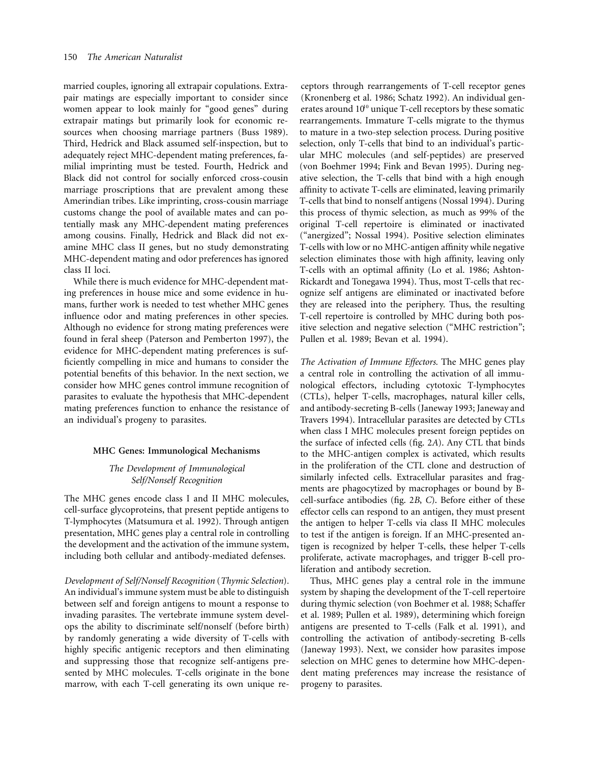married couples, ignoring all extrapair copulations. Extrapair matings are especially important to consider since women appear to look mainly for "good genes" during extrapair matings but primarily look for economic resources when choosing marriage partners (Buss 1989). Third, Hedrick and Black assumed self-inspection, but to adequately reject MHC-dependent mating preferences, familial imprinting must be tested. Fourth, Hedrick and Black did not control for socially enforced cross-cousin marriage proscriptions that are prevalent among these Amerindian tribes. Like imprinting, cross-cousin marriage customs change the pool of available mates and can potentially mask any MHC-dependent mating preferences among cousins. Finally, Hedrick and Black did not examine MHC class II genes, but no study demonstrating MHC-dependent mating and odor preferences has ignored class II loci.

While there is much evidence for MHC-dependent mating preferences in house mice and some evidence in humans, further work is needed to test whether MHC genes influence odor and mating preferences in other species. Although no evidence for strong mating preferences were found in feral sheep (Paterson and Pemberton 1997), the evidence for MHC-dependent mating preferences is sufficiently compelling in mice and humans to consider the potential benefits of this behavior. In the next section, we consider how MHC genes control immune recognition of parasites to evaluate the hypothesis that MHC-dependent mating preferences function to enhance the resistance of an individual's progeny to parasites.

## **MHC Genes: Immunological Mechanisms**

# *The Development of Immunological Self/Nonself Recognition*

The MHC genes encode class I and II MHC molecules, cell-surface glycoproteins, that present peptide antigens to T-lymphocytes (Matsumura et al. 1992). Through antigen presentation, MHC genes play a central role in controlling the development and the activation of the immune system, including both cellular and antibody-mediated defenses.

*Development of Self/Nonself Recognition* (*Thymic Selection*)*.* An individual's immune system must be able to distinguish between self and foreign antigens to mount a response to invading parasites. The vertebrate immune system develops the ability to discriminate self/nonself (before birth) by randomly generating a wide diversity of T-cells with highly specific antigenic receptors and then eliminating and suppressing those that recognize self-antigens presented by MHC molecules. T-cells originate in the bone marrow, with each T-cell generating its own unique re-

ceptors through rearrangements of T-cell receptor genes (Kronenberg et al. 1986; Schatz 1992). An individual generates around 10<sup>to</sup> unique T-cell receptors by these somatic rearrangements. Immature T-cells migrate to the thymus to mature in a two-step selection process. During positive selection, only T-cells that bind to an individual's particular MHC molecules (and self-peptides) are preserved (von Boehmer 1994; Fink and Bevan 1995). During negative selection, the T-cells that bind with a high enough affinity to activate T-cells are eliminated, leaving primarily T-cells that bind to nonself antigens (Nossal 1994). During this process of thymic selection, as much as 99% of the original T-cell repertoire is eliminated or inactivated ("anergized"; Nossal 1994). Positive selection eliminates T-cells with low or no MHC-antigen affinity while negative selection eliminates those with high affinity, leaving only T-cells with an optimal affinity (Lo et al. 1986; Ashton-Rickardt and Tonegawa 1994). Thus, most T-cells that recognize self antigens are eliminated or inactivated before they are released into the periphery. Thus, the resulting T-cell repertoire is controlled by MHC during both positive selection and negative selection ("MHC restriction"; Pullen et al. 1989; Bevan et al. 1994).

*The Activation of Immune Effectors.* The MHC genes play a central role in controlling the activation of all immunological effectors, including cytotoxic T-lymphocytes (CTLs), helper T-cells, macrophages, natural killer cells, and antibody-secreting B-cells (Janeway 1993; Janeway and Travers 1994). Intracellular parasites are detected by CTLs when class I MHC molecules present foreign peptides on the surface of infected cells (fig. 2*A*). Any CTL that binds to the MHC-antigen complex is activated, which results in the proliferation of the CTL clone and destruction of similarly infected cells. Extracellular parasites and fragments are phagocytized by macrophages or bound by Bcell-surface antibodies (fig. 2*B*, *C*). Before either of these effector cells can respond to an antigen, they must present the antigen to helper T-cells via class II MHC molecules to test if the antigen is foreign. If an MHC-presented antigen is recognized by helper T-cells, these helper T-cells proliferate, activate macrophages, and trigger B-cell proliferation and antibody secretion.

Thus, MHC genes play a central role in the immune system by shaping the development of the T-cell repertoire during thymic selection (von Boehmer et al. 1988; Schaffer et al. 1989; Pullen et al. 1989), determining which foreign antigens are presented to T-cells (Falk et al. 1991), and controlling the activation of antibody-secreting B-cells (Janeway 1993). Next, we consider how parasites impose selection on MHC genes to determine how MHC-dependent mating preferences may increase the resistance of progeny to parasites.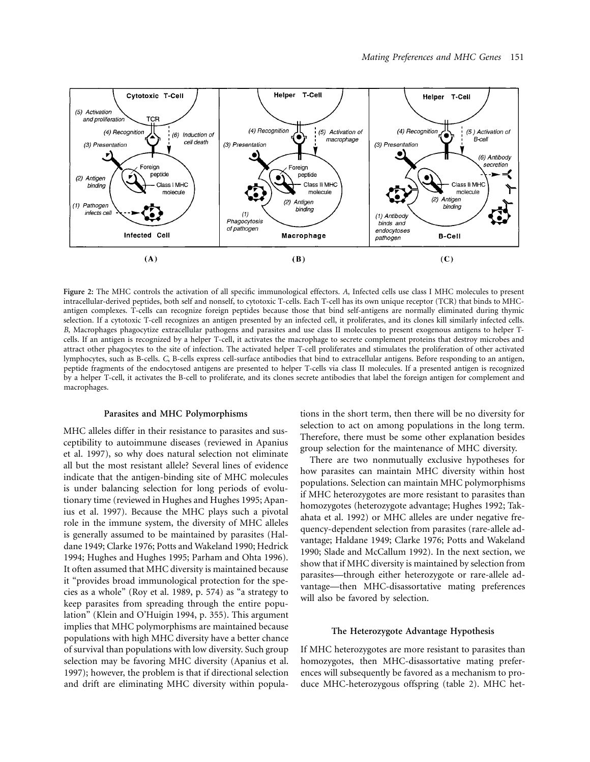

**Figure 2:** The MHC controls the activation of all specific immunological effectors. *A*, Infected cells use class I MHC molecules to present intracellular-derived peptides, both self and nonself, to cytotoxic T-cells. Each T-cell has its own unique receptor (TCR) that binds to MHCantigen complexes. T-cells can recognize foreign peptides because those that bind self-antigens are normally eliminated during thymic selection. If a cytotoxic T-cell recognizes an antigen presented by an infected cell, it proliferates, and its clones kill similarly infected cells. *B*, Macrophages phagocytize extracellular pathogens and parasites and use class II molecules to present exogenous antigens to helper Tcells. If an antigen is recognized by a helper T-cell, it activates the macrophage to secrete complement proteins that destroy microbes and attract other phagocytes to the site of infection. The activated helper T-cell proliferates and stimulates the proliferation of other activated lymphocytes, such as B-cells. *C*, B-cells express cell-surface antibodies that bind to extracellular antigens. Before responding to an antigen, peptide fragments of the endocytosed antigens are presented to helper T-cells via class II molecules. If a presented antigen is recognized by a helper T-cell, it activates the B-cell to proliferate, and its clones secrete antibodies that label the foreign antigen for complement and macrophages.

# **Parasites and MHC Polymorphisms**

MHC alleles differ in their resistance to parasites and susceptibility to autoimmune diseases (reviewed in Apanius et al. 1997), so why does natural selection not eliminate all but the most resistant allele? Several lines of evidence indicate that the antigen-binding site of MHC molecules is under balancing selection for long periods of evolutionary time (reviewed in Hughes and Hughes 1995; Apanius et al. 1997). Because the MHC plays such a pivotal role in the immune system, the diversity of MHC alleles is generally assumed to be maintained by parasites (Haldane 1949; Clarke 1976; Potts and Wakeland 1990; Hedrick 1994; Hughes and Hughes 1995; Parham and Ohta 1996). It often assumed that MHC diversity is maintained because it "provides broad immunological protection for the species as a whole" (Roy et al. 1989, p. 574) as "a strategy to keep parasites from spreading through the entire population" (Klein and O'Huigin 1994, p. 355). This argument implies that MHC polymorphisms are maintained because populations with high MHC diversity have a better chance of survival than populations with low diversity. Such group selection may be favoring MHC diversity (Apanius et al. 1997); however, the problem is that if directional selection and drift are eliminating MHC diversity within popula-

tions in the short term, then there will be no diversity for selection to act on among populations in the long term. Therefore, there must be some other explanation besides group selection for the maintenance of MHC diversity.

There are two nonmutually exclusive hypotheses for how parasites can maintain MHC diversity within host populations. Selection can maintain MHC polymorphisms if MHC heterozygotes are more resistant to parasites than homozygotes (heterozygote advantage; Hughes 1992; Takahata et al. 1992) or MHC alleles are under negative frequency-dependent selection from parasites (rare-allele advantage; Haldane 1949; Clarke 1976; Potts and Wakeland 1990; Slade and McCallum 1992). In the next section, we show that if MHC diversity is maintained by selection from parasites—through either heterozygote or rare-allele advantage—then MHC-disassortative mating preferences will also be favored by selection.

# **The Heterozygote Advantage Hypothesis**

If MHC heterozygotes are more resistant to parasites than homozygotes, then MHC-disassortative mating preferences will subsequently be favored as a mechanism to produce MHC-heterozygous offspring (table 2). MHC het-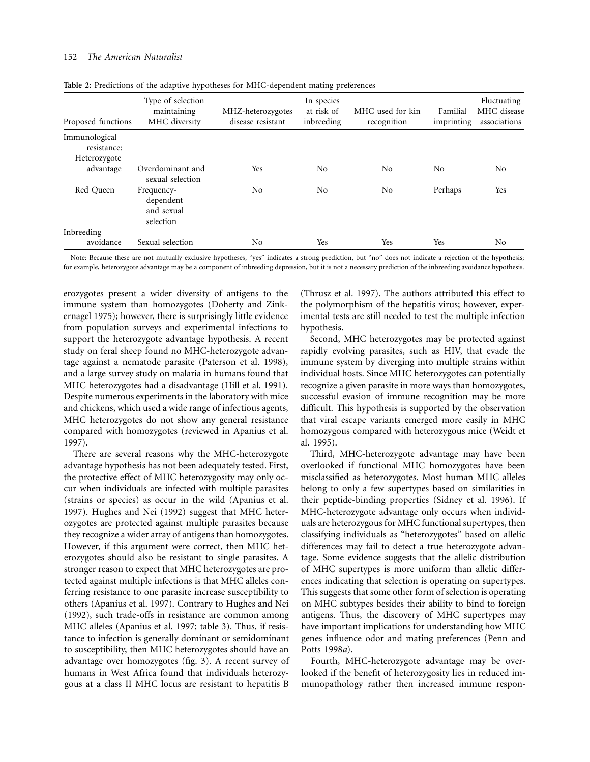# 152 *The American Naturalist*

| Proposed functions                           | Type of selection<br>maintaining<br>MHC diversity  | MHZ-heterozygotes<br>disease resistant | In species<br>at risk of<br>inbreeding | MHC used for kin<br>recognition | Familial<br>imprinting | <b>Fluctuating</b><br>MHC disease<br>associations |
|----------------------------------------------|----------------------------------------------------|----------------------------------------|----------------------------------------|---------------------------------|------------------------|---------------------------------------------------|
| Immunological<br>resistance:<br>Heterozygote |                                                    |                                        |                                        |                                 |                        |                                                   |
| advantage                                    | Overdominant and<br>sexual selection               | Yes                                    | No                                     | No                              | N <sub>0</sub>         | N <sub>0</sub>                                    |
| Red Oueen                                    | Frequency-<br>dependent<br>and sexual<br>selection | No                                     | N <sub>0</sub>                         | N <sub>0</sub>                  | Perhaps                | Yes                                               |
| Inbreeding                                   |                                                    |                                        |                                        |                                 |                        |                                                   |
| avoidance                                    | Sexual selection                                   | No                                     | Yes                                    | Yes                             | Yes                    | N <sub>o</sub>                                    |

**Table 2:** Predictions of the adaptive hypotheses for MHC-dependent mating preferences

Note: Because these are not mutually exclusive hypotheses, "yes" indicates a strong prediction, but "no" does not indicate a rejection of the hypothesis; for example, heterozygote advantage may be a component of inbreeding depression, but it is not a necessary prediction of the inbreeding avoidance hypothesis.

erozygotes present a wider diversity of antigens to the immune system than homozygotes (Doherty and Zinkernagel 1975); however, there is surprisingly little evidence from population surveys and experimental infections to support the heterozygote advantage hypothesis. A recent study on feral sheep found no MHC-heterozygote advantage against a nematode parasite (Paterson et al. 1998), and a large survey study on malaria in humans found that MHC heterozygotes had a disadvantage (Hill et al. 1991). Despite numerous experiments in the laboratory with mice and chickens, which used a wide range of infectious agents, MHC heterozygotes do not show any general resistance compared with homozygotes (reviewed in Apanius et al. 1997).

There are several reasons why the MHC-heterozygote advantage hypothesis has not been adequately tested. First, the protective effect of MHC heterozygosity may only occur when individuals are infected with multiple parasites (strains or species) as occur in the wild (Apanius et al. 1997). Hughes and Nei (1992) suggest that MHC heterozygotes are protected against multiple parasites because they recognize a wider array of antigens than homozygotes. However, if this argument were correct, then MHC heterozygotes should also be resistant to single parasites. A stronger reason to expect that MHC heterozygotes are protected against multiple infections is that MHC alleles conferring resistance to one parasite increase susceptibility to others (Apanius et al. 1997). Contrary to Hughes and Nei (1992), such trade-offs in resistance are common among MHC alleles (Apanius et al. 1997; table 3). Thus, if resistance to infection is generally dominant or semidominant to susceptibility, then MHC heterozygotes should have an advantage over homozygotes (fig. 3). A recent survey of humans in West Africa found that individuals heterozygous at a class II MHC locus are resistant to hepatitis B

(Thrusz et al. 1997). The authors attributed this effect to the polymorphism of the hepatitis virus; however, experimental tests are still needed to test the multiple infection hypothesis.

Second, MHC heterozygotes may be protected against rapidly evolving parasites, such as HIV, that evade the immune system by diverging into multiple strains within individual hosts. Since MHC heterozygotes can potentially recognize a given parasite in more ways than homozygotes, successful evasion of immune recognition may be more difficult. This hypothesis is supported by the observation that viral escape variants emerged more easily in MHC homozygous compared with heterozygous mice (Weidt et al. 1995).

Third, MHC-heterozygote advantage may have been overlooked if functional MHC homozygotes have been misclassified as heterozygotes. Most human MHC alleles belong to only a few supertypes based on similarities in their peptide-binding properties (Sidney et al. 1996). If MHC-heterozygote advantage only occurs when individuals are heterozygous for MHC functional supertypes, then classifying individuals as "heterozygotes" based on allelic differences may fail to detect a true heterozygote advantage. Some evidence suggests that the allelic distribution of MHC supertypes is more uniform than allelic differences indicating that selection is operating on supertypes. This suggests that some other form of selection is operating on MHC subtypes besides their ability to bind to foreign antigens. Thus, the discovery of MHC supertypes may have important implications for understanding how MHC genes influence odor and mating preferences (Penn and Potts 1998*a*).

Fourth, MHC-heterozygote advantage may be overlooked if the benefit of heterozygosity lies in reduced immunopathology rather then increased immune respon-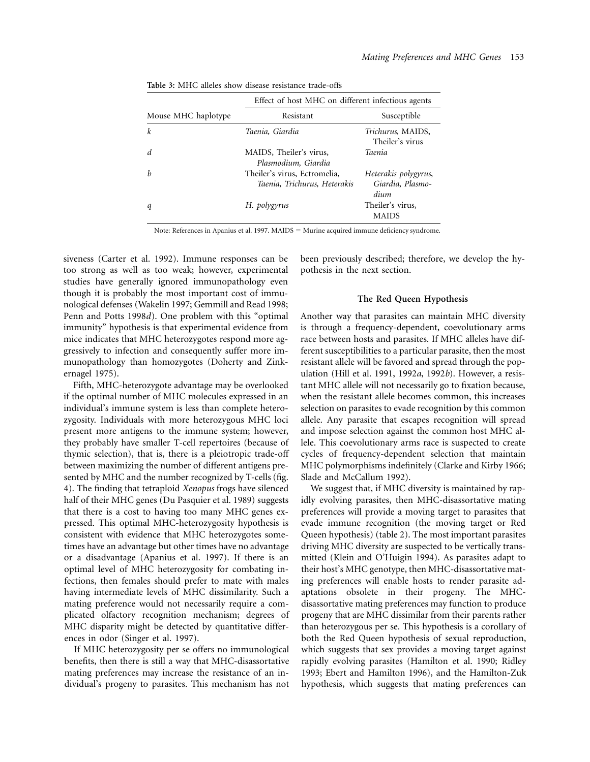|                     | Effect of host MHC on different infectious agents            |                                                  |  |  |  |
|---------------------|--------------------------------------------------------------|--------------------------------------------------|--|--|--|
| Mouse MHC haplotype | Resistant                                                    | Susceptible                                      |  |  |  |
| k                   | Taenia, Giardia                                              | Trichurus, MAIDS,<br>Theiler's virus             |  |  |  |
|                     | MAIDS, Theiler's virus,<br>Plasmodium, Giardia               | Taenia                                           |  |  |  |
| h                   | Theiler's virus, Ectromelia,<br>Taenia, Trichurus, Heterakis | Heterakis polygyrus,<br>Giardia, Plasmo-<br>dium |  |  |  |
|                     | H. polygyrus                                                 | Theiler's virus,<br><b>MAIDS</b>                 |  |  |  |

**Table 3:** MHC alleles show disease resistance trade-offs

Note: References in Apanius et al. 1997. MAIDS = Murine acquired immune deficiency syndrome.

siveness (Carter et al. 1992). Immune responses can be too strong as well as too weak; however, experimental studies have generally ignored immunopathology even though it is probably the most important cost of immunological defenses (Wakelin 1997; Gemmill and Read 1998; Penn and Potts 1998*d*). One problem with this "optimal immunity" hypothesis is that experimental evidence from mice indicates that MHC heterozygotes respond more aggressively to infection and consequently suffer more immunopathology than homozygotes (Doherty and Zinkernagel 1975).

Fifth, MHC-heterozygote advantage may be overlooked if the optimal number of MHC molecules expressed in an individual's immune system is less than complete heterozygosity. Individuals with more heterozygous MHC loci present more antigens to the immune system; however, they probably have smaller T-cell repertoires (because of thymic selection), that is, there is a pleiotropic trade-off between maximizing the number of different antigens presented by MHC and the number recognized by T-cells (fig. 4). The finding that tetraploid *Xenopus* frogs have silenced half of their MHC genes (Du Pasquier et al. 1989) suggests that there is a cost to having too many MHC genes expressed. This optimal MHC-heterozygosity hypothesis is consistent with evidence that MHC heterozygotes sometimes have an advantage but other times have no advantage or a disadvantage (Apanius et al. 1997). If there is an optimal level of MHC heterozygosity for combating infections, then females should prefer to mate with males having intermediate levels of MHC dissimilarity. Such a mating preference would not necessarily require a complicated olfactory recognition mechanism; degrees of MHC disparity might be detected by quantitative differences in odor (Singer et al. 1997).

If MHC heterozygosity per se offers no immunological benefits, then there is still a way that MHC-disassortative mating preferences may increase the resistance of an individual's progeny to parasites. This mechanism has not been previously described; therefore, we develop the hypothesis in the next section.

#### **The Red Queen Hypothesis**

Another way that parasites can maintain MHC diversity is through a frequency-dependent, coevolutionary arms race between hosts and parasites. If MHC alleles have different susceptibilities to a particular parasite, then the most resistant allele will be favored and spread through the population (Hill et al. 1991, 1992*a*, 1992*b*). However, a resistant MHC allele will not necessarily go to fixation because, when the resistant allele becomes common, this increases selection on parasites to evade recognition by this common allele. Any parasite that escapes recognition will spread and impose selection against the common host MHC allele. This coevolutionary arms race is suspected to create cycles of frequency-dependent selection that maintain MHC polymorphisms indefinitely (Clarke and Kirby 1966; Slade and McCallum 1992).

We suggest that, if MHC diversity is maintained by rapidly evolving parasites, then MHC-disassortative mating preferences will provide a moving target to parasites that evade immune recognition (the moving target or Red Queen hypothesis) (table 2). The most important parasites driving MHC diversity are suspected to be vertically transmitted (Klein and O'Huigin 1994). As parasites adapt to their host's MHC genotype, then MHC-disassortative mating preferences will enable hosts to render parasite adaptations obsolete in their progeny. The MHCdisassortative mating preferences may function to produce progeny that are MHC dissimilar from their parents rather than heterozygous per se. This hypothesis is a corollary of both the Red Queen hypothesis of sexual reproduction, which suggests that sex provides a moving target against rapidly evolving parasites (Hamilton et al. 1990; Ridley 1993; Ebert and Hamilton 1996), and the Hamilton-Zuk hypothesis, which suggests that mating preferences can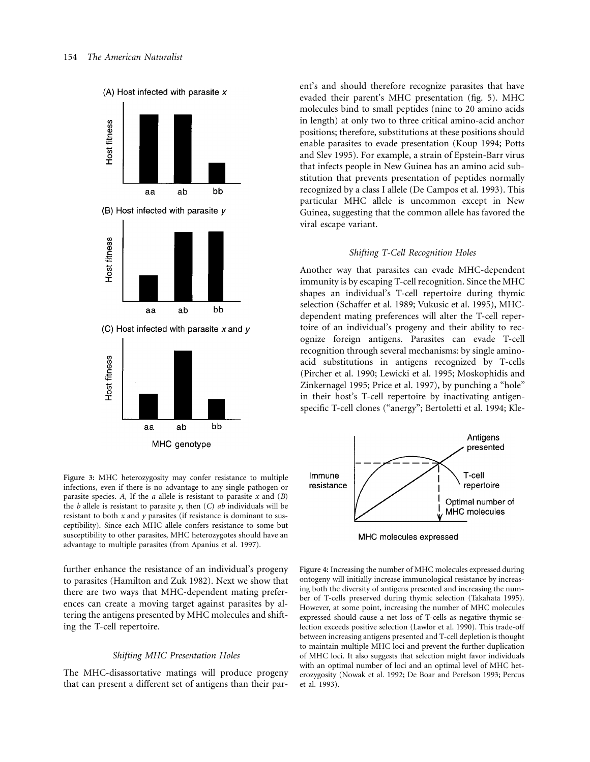

**Figure 3:** MHC heterozygosity may confer resistance to multiple infections, even if there is no advantage to any single pathogen or parasite species. *A*, If the *a* allele is resistant to parasite *x* and (*B*) the  $b$  allele is resistant to parasite  $y$ , then  $(C)$   $ab$  individuals will be resistant to both *x* and *y* parasites (if resistance is dominant to susceptibility). Since each MHC allele confers resistance to some but susceptibility to other parasites, MHC heterozygotes should have an advantage to multiple parasites (from Apanius et al. 1997).

further enhance the resistance of an individual's progeny to parasites (Hamilton and Zuk 1982). Next we show that there are two ways that MHC-dependent mating preferences can create a moving target against parasites by altering the antigens presented by MHC molecules and shifting the T-cell repertoire.

#### *Shifting MHC Presentation Holes*

The MHC-disassortative matings will produce progeny that can present a different set of antigens than their par-

ent's and should therefore recognize parasites that have evaded their parent's MHC presentation (fig. 5). MHC molecules bind to small peptides (nine to 20 amino acids in length) at only two to three critical amino-acid anchor positions; therefore, substitutions at these positions should enable parasites to evade presentation (Koup 1994; Potts and Slev 1995). For example, a strain of Epstein-Barr virus that infects people in New Guinea has an amino acid substitution that prevents presentation of peptides normally recognized by a class I allele (De Campos et al. 1993). This particular MHC allele is uncommon except in New Guinea, suggesting that the common allele has favored the viral escape variant.

# *Shifting T-Cell Recognition Holes*

Another way that parasites can evade MHC-dependent immunity is by escaping T-cell recognition. Since the MHC shapes an individual's T-cell repertoire during thymic selection (Schaffer et al. 1989; Vukusic et al. 1995), MHCdependent mating preferences will alter the T-cell repertoire of an individual's progeny and their ability to recognize foreign antigens. Parasites can evade T-cell recognition through several mechanisms: by single aminoacid substitutions in antigens recognized by T-cells (Pircher et al. 1990; Lewicki et al. 1995; Moskophidis and Zinkernagel 1995; Price et al. 1997), by punching a "hole" in their host's T-cell repertoire by inactivating antigenspecific T-cell clones ("anergy"; Bertoletti et al. 1994; Kle-



MHC molecules expressed

**Figure 4:** Increasing the number of MHC molecules expressed during ontogeny will initially increase immunological resistance by increasing both the diversity of antigens presented and increasing the number of T-cells preserved during thymic selection (Takahata 1995). However, at some point, increasing the number of MHC molecules expressed should cause a net loss of T-cells as negative thymic selection exceeds positive selection (Lawlor et al. 1990). This trade-off between increasing antigens presented and T-cell depletion is thought to maintain multiple MHC loci and prevent the further duplication of MHC loci. It also suggests that selection might favor individuals with an optimal number of loci and an optimal level of MHC heterozygosity (Nowak et al. 1992; De Boar and Perelson 1993; Percus et al. 1993).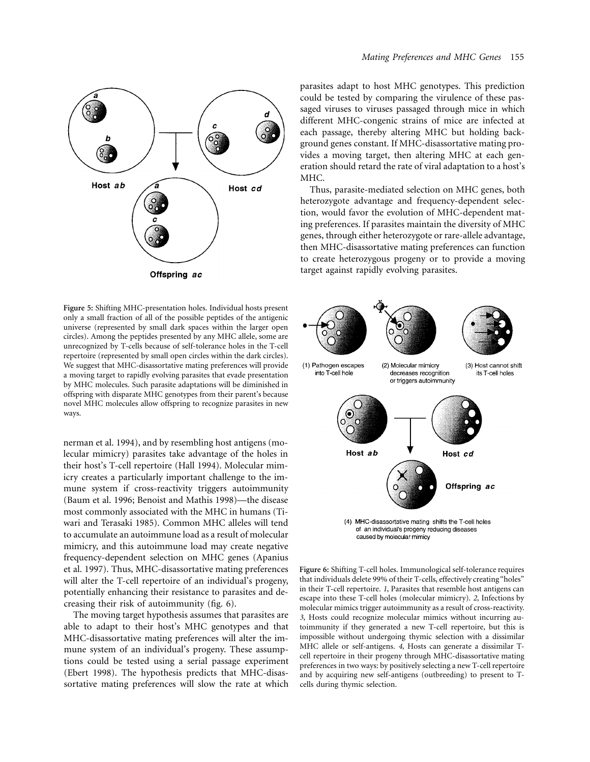

**Figure 5:** Shifting MHC-presentation holes. Individual hosts present only a small fraction of all of the possible peptides of the antigenic universe (represented by small dark spaces within the larger open circles). Among the peptides presented by any MHC allele, some are unrecognized by T-cells because of self-tolerance holes in the T-cell repertoire (represented by small open circles within the dark circles). We suggest that MHC-disassortative mating preferences will provide a moving target to rapidly evolving parasites that evade presentation by MHC molecules. Such parasite adaptations will be diminished in offspring with disparate MHC genotypes from their parent's because novel MHC molecules allow offspring to recognize parasites in new ways.

nerman et al. 1994), and by resembling host antigens (molecular mimicry) parasites take advantage of the holes in their host's T-cell repertoire (Hall 1994). Molecular mimicry creates a particularly important challenge to the immune system if cross-reactivity triggers autoimmunity (Baum et al. 1996; Benoist and Mathis 1998)—the disease most commonly associated with the MHC in humans (Tiwari and Terasaki 1985). Common MHC alleles will tend to accumulate an autoimmune load as a result of molecular mimicry, and this autoimmune load may create negative frequency-dependent selection on MHC genes (Apanius et al. 1997). Thus, MHC-disassortative mating preferences will alter the T-cell repertoire of an individual's progeny, potentially enhancing their resistance to parasites and decreasing their risk of autoimmunity (fig. 6).

The moving target hypothesis assumes that parasites are able to adapt to their host's MHC genotypes and that MHC-disassortative mating preferences will alter the immune system of an individual's progeny. These assumptions could be tested using a serial passage experiment (Ebert 1998). The hypothesis predicts that MHC-disassortative mating preferences will slow the rate at which

parasites adapt to host MHC genotypes. This prediction could be tested by comparing the virulence of these passaged viruses to viruses passaged through mice in which different MHC-congenic strains of mice are infected at each passage, thereby altering MHC but holding background genes constant. If MHC-disassortative mating provides a moving target, then altering MHC at each generation should retard the rate of viral adaptation to a host's MHC.

Thus, parasite-mediated selection on MHC genes, both heterozygote advantage and frequency-dependent selection, would favor the evolution of MHC-dependent mating preferences. If parasites maintain the diversity of MHC genes, through either heterozygote or rare-allele advantage, then MHC-disassortative mating preferences can function to create heterozygous progeny or to provide a moving target against rapidly evolving parasites.



of an individual's progeny reducing diseases caused by molecular mimicy

**Figure 6:** Shifting T-cell holes. Immunological self-tolerance requires that individuals delete 99% of their T-cells, effectively creating "holes" in their T-cell repertoire. *1*, Parasites that resemble host antigens can escape into these T-cell holes (molecular mimicry). *2*, Infections by molecular mimics trigger autoimmunity as a result of cross-reactivity. *3*, Hosts could recognize molecular mimics without incurring autoimmunity if they generated a new T-cell repertoire, but this is impossible without undergoing thymic selection with a dissimilar MHC allele or self-antigens. *4*, Hosts can generate a dissimilar Tcell repertoire in their progeny through MHC-disassortative mating preferences in two ways: by positively selecting a new T-cell repertoire and by acquiring new self-antigens (outbreeding) to present to Tcells during thymic selection.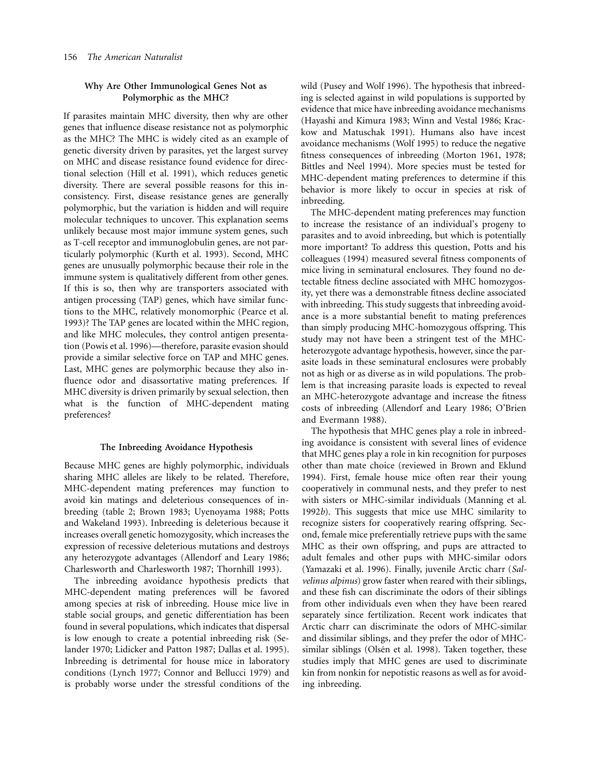# **Why Are Other Immunological Genes Not as Polymorphic as the MHC?**

If parasites maintain MHC diversity, then why are other genes that influence disease resistance not as polymorphic as the MHC? The MHC is widely cited as an example of genetic diversity driven by parasites, yet the largest survey on MHC and disease resistance found evidence for directional selection (Hill et al. 1991), which reduces genetic diversity. There are several possible reasons for this inconsistency. First, disease resistance genes are generally polymorphic, but the variation is hidden and will require molecular techniques to uncover. This explanation seems unlikely because most major immune system genes, such as T-cell receptor and immunoglobulin genes, are not particularly polymorphic (Kurth et al. 1993). Second, MHC genes are unusually polymorphic because their role in the immune system is qualitatively different from other genes. If this is so, then why are transporters associated with antigen processing (TAP) genes, which have similar functions to the MHC, relatively monomorphic (Pearce et al. 1993)? The TAP genes are located within the MHC region, and like MHC molecules, they control antigen presentation (Powis et al. 1996)—therefore, parasite evasion should provide a similar selective force on TAP and MHC genes. Last, MHC genes are polymorphic because they also influence odor and disassortative mating preferences. If MHC diversity is driven primarily by sexual selection, then what is the function of MHC-dependent mating preferences?

# **The Inbreeding Avoidance Hypothesis**

Because MHC genes are highly polymorphic, individuals sharing MHC alleles are likely to be related. Therefore, MHC-dependent mating preferences may function to avoid kin matings and deleterious consequences of inbreeding (table 2; Brown 1983; Uyenoyama 1988; Potts and Wakeland 1993). Inbreeding is deleterious because it increases overall genetic homozygosity, which increases the expression of recessive deleterious mutations and destroys any heterozygote advantages (Allendorf and Leary 1986; Charlesworth and Charlesworth 1987; Thornhill 1993).

The inbreeding avoidance hypothesis predicts that MHC-dependent mating preferences will be favored among species at risk of inbreeding. House mice live in stable social groups, and genetic differentiation has been found in several populations, which indicates that dispersal is low enough to create a potential inbreeding risk (Selander 1970; Lidicker and Patton 1987; Dallas et al. 1995). Inbreeding is detrimental for house mice in laboratory conditions (Lynch 1977; Connor and Bellucci 1979) and is probably worse under the stressful conditions of the wild (Pusey and Wolf 1996). The hypothesis that inbreeding is selected against in wild populations is supported by evidence that mice have inbreeding avoidance mechanisms (Hayashi and Kimura 1983; Winn and Vestal 1986; Krackow and Matuschak 1991). Humans also have incest avoidance mechanisms (Wolf 1995) to reduce the negative fitness consequences of inbreeding (Morton 1961, 1978; Bittles and Neel 1994). More species must be tested for MHC-dependent mating preferences to determine if this behavior is more likely to occur in species at risk of inbreeding.

The MHC-dependent mating preferences may function to increase the resistance of an individual's progeny to parasites and to avoid inbreeding, but which is potentially more important? To address this question, Potts and his colleagues (1994) measured several fitness components of mice living in seminatural enclosures. They found no detectable fitness decline associated with MHC homozygosity, yet there was a demonstrable fitness decline associated with inbreeding. This study suggests that inbreeding avoidance is a more substantial benefit to mating preferences than simply producing MHC-homozygous offspring. This study may not have been a stringent test of the MHCheterozygote advantage hypothesis, however, since the parasite loads in these seminatural enclosures were probably not as high or as diverse as in wild populations. The problem is that increasing parasite loads is expected to reveal an MHC-heterozygote advantage and increase the fitness costs of inbreeding (Allendorf and Leary 1986; O'Brien and Evermann 1988).

The hypothesis that MHC genes play a role in inbreeding avoidance is consistent with several lines of evidence that MHC genes play a role in kin recognition for purposes other than mate choice (reviewed in Brown and Eklund 1994). First, female house mice often rear their young cooperatively in communal nests, and they prefer to nest with sisters or MHC-similar individuals (Manning et al. 1992*b*). This suggests that mice use MHC similarity to recognize sisters for cooperatively rearing offspring. Second, female mice preferentially retrieve pups with the same MHC as their own offspring, and pups are attracted to adult females and other pups with MHC-similar odors (Yamazaki et al. 1996). Finally, juvenile Arctic charr (*Salvelinus alpinus*) grow faster when reared with their siblings, and these fish can discriminate the odors of their siblings from other individuals even when they have been reared separately since fertilization. Recent work indicates that Arctic charr can discriminate the odors of MHC-similar and dissimilar siblings, and they prefer the odor of MHCsimilar siblings (Olsén et al. 1998). Taken together, these studies imply that MHC genes are used to discriminate kin from nonkin for nepotistic reasons as well as for avoiding inbreeding.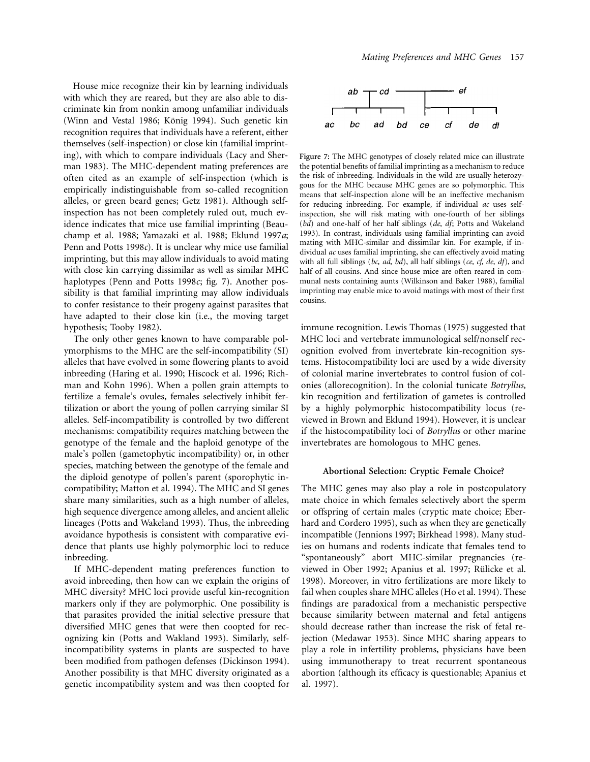House mice recognize their kin by learning individuals with which they are reared, but they are also able to discriminate kin from nonkin among unfamiliar individuals (Winn and Vestal 1986; König 1994). Such genetic kin recognition requires that individuals have a referent, either themselves (self-inspection) or close kin (familial imprinting), with which to compare individuals (Lacy and Sherman 1983). The MHC-dependent mating preferences are often cited as an example of self-inspection (which is empirically indistinguishable from so-called recognition alleles, or green beard genes; Getz 1981). Although selfinspection has not been completely ruled out, much evidence indicates that mice use familial imprinting (Beauchamp et al. 1988; Yamazaki et al. 1988; Eklund 1997*a*; Penn and Potts 1998*c*). It is unclear why mice use familial imprinting, but this may allow individuals to avoid mating with close kin carrying dissimilar as well as similar MHC haplotypes (Penn and Potts 1998*c*; fig. 7). Another possibility is that familial imprinting may allow individuals to confer resistance to their progeny against parasites that have adapted to their close kin (i.e., the moving target hypothesis; Tooby 1982).

The only other genes known to have comparable polymorphisms to the MHC are the self-incompatibility (SI) alleles that have evolved in some flowering plants to avoid inbreeding (Haring et al. 1990; Hiscock et al. 1996; Richman and Kohn 1996). When a pollen grain attempts to fertilize a female's ovules, females selectively inhibit fertilization or abort the young of pollen carrying similar SI alleles. Self-incompatibility is controlled by two different mechanisms: compatibility requires matching between the genotype of the female and the haploid genotype of the male's pollen (gametophytic incompatibility) or, in other species, matching between the genotype of the female and the diploid genotype of pollen's parent (sporophytic incompatibility; Matton et al. 1994). The MHC and SI genes share many similarities, such as a high number of alleles, high sequence divergence among alleles, and ancient allelic lineages (Potts and Wakeland 1993). Thus, the inbreeding avoidance hypothesis is consistent with comparative evidence that plants use highly polymorphic loci to reduce inbreeding.

If MHC-dependent mating preferences function to avoid inbreeding, then how can we explain the origins of MHC diversity? MHC loci provide useful kin-recognition markers only if they are polymorphic. One possibility is that parasites provided the initial selective pressure that diversified MHC genes that were then coopted for recognizing kin (Potts and Wakland 1993). Similarly, selfincompatibility systems in plants are suspected to have been modified from pathogen defenses (Dickinson 1994). Another possibility is that MHC diversity originated as a genetic incompatibility system and was then coopted for



**Figure 7:** The MHC genotypes of closely related mice can illustrate the potential benefits of familial imprinting as a mechanism to reduce the risk of inbreeding. Individuals in the wild are usually heterozygous for the MHC because MHC genes are so polymorphic. This means that self-inspection alone will be an ineffective mechanism for reducing inbreeding. For example, if individual *ac* uses selfinspection, she will risk mating with one-fourth of her siblings (*bd*) and one-half of her half siblings (*de*, *df*; Potts and Wakeland 1993). In contrast, individuals using familial imprinting can avoid mating with MHC-similar and dissimilar kin. For example, if individual *ac* uses familial imprinting, she can effectively avoid mating with all full siblings (*bc, ad, bd*), all half siblings (*ce, cf, de, df*), and half of all cousins. And since house mice are often reared in communal nests containing aunts (Wilkinson and Baker 1988), familial imprinting may enable mice to avoid matings with most of their first cousins.

immune recognition. Lewis Thomas (1975) suggested that MHC loci and vertebrate immunological self/nonself recognition evolved from invertebrate kin-recognition systems. Histocompatibility loci are used by a wide diversity of colonial marine invertebrates to control fusion of colonies (allorecognition). In the colonial tunicate *Botryllus,* kin recognition and fertilization of gametes is controlled by a highly polymorphic histocompatibility locus (reviewed in Brown and Eklund 1994). However, it is unclear if the histocompatibility loci of *Botryllus* or other marine invertebrates are homologous to MHC genes.

# **Abortional Selection: Cryptic Female Choice?**

The MHC genes may also play a role in postcopulatory mate choice in which females selectively abort the sperm or offspring of certain males (cryptic mate choice; Eberhard and Cordero 1995), such as when they are genetically incompatible (Jennions 1997; Birkhead 1998). Many studies on humans and rodents indicate that females tend to "spontaneously" abort MHC-similar pregnancies (reviewed in Ober 1992; Apanius et al. 1997; Rülicke et al. 1998). Moreover, in vitro fertilizations are more likely to fail when couples share MHC alleles (Ho et al. 1994). These findings are paradoxical from a mechanistic perspective because similarity between maternal and fetal antigens should decrease rather than increase the risk of fetal rejection (Medawar 1953). Since MHC sharing appears to play a role in infertility problems, physicians have been using immunotherapy to treat recurrent spontaneous abortion (although its efficacy is questionable; Apanius et al. 1997).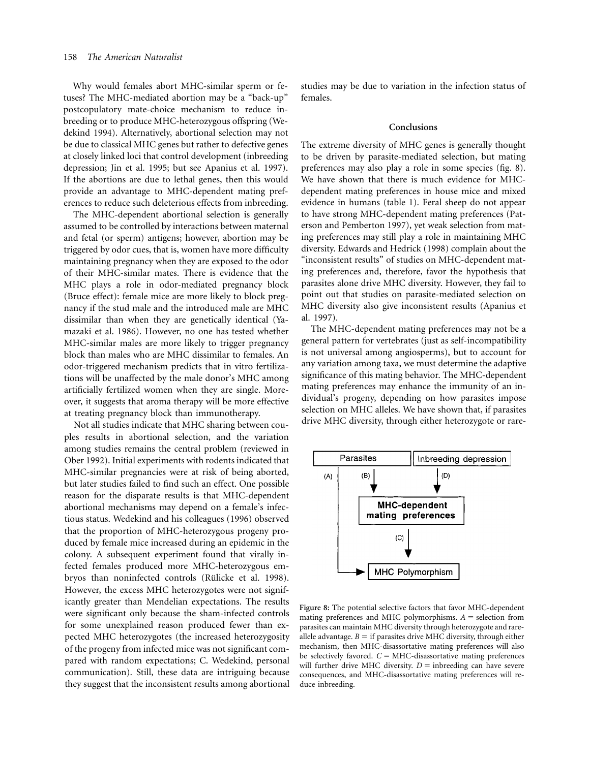Why would females abort MHC-similar sperm or fetuses? The MHC-mediated abortion may be a "back-up" postcopulatory mate-choice mechanism to reduce inbreeding or to produce MHC-heterozygous offspring (Wedekind 1994). Alternatively, abortional selection may not be due to classical MHC genes but rather to defective genes at closely linked loci that control development (inbreeding depression; Jin et al. 1995; but see Apanius et al. 1997). If the abortions are due to lethal genes, then this would provide an advantage to MHC-dependent mating preferences to reduce such deleterious effects from inbreeding.

The MHC-dependent abortional selection is generally assumed to be controlled by interactions between maternal and fetal (or sperm) antigens; however, abortion may be triggered by odor cues, that is, women have more difficulty maintaining pregnancy when they are exposed to the odor of their MHC-similar mates. There is evidence that the MHC plays a role in odor-mediated pregnancy block (Bruce effect): female mice are more likely to block pregnancy if the stud male and the introduced male are MHC dissimilar than when they are genetically identical (Yamazaki et al. 1986). However, no one has tested whether MHC-similar males are more likely to trigger pregnancy block than males who are MHC dissimilar to females. An odor-triggered mechanism predicts that in vitro fertilizations will be unaffected by the male donor's MHC among artificially fertilized women when they are single. Moreover, it suggests that aroma therapy will be more effective at treating pregnancy block than immunotherapy.

Not all studies indicate that MHC sharing between couples results in abortional selection, and the variation among studies remains the central problem (reviewed in Ober 1992). Initial experiments with rodents indicated that MHC-similar pregnancies were at risk of being aborted, but later studies failed to find such an effect. One possible reason for the disparate results is that MHC-dependent abortional mechanisms may depend on a female's infectious status. Wedekind and his colleagues (1996) observed that the proportion of MHC-heterozygous progeny produced by female mice increased during an epidemic in the colony. A subsequent experiment found that virally infected females produced more MHC-heterozygous embryos than noninfected controls (Rülicke et al. 1998). However, the excess MHC heterozygotes were not significantly greater than Mendelian expectations. The results were significant only because the sham-infected controls for some unexplained reason produced fewer than expected MHC heterozygotes (the increased heterozygosity of the progeny from infected mice was not significant compared with random expectations; C. Wedekind, personal communication). Still, these data are intriguing because they suggest that the inconsistent results among abortional studies may be due to variation in the infection status of females.

#### **Conclusions**

The extreme diversity of MHC genes is generally thought to be driven by parasite-mediated selection, but mating preferences may also play a role in some species (fig. 8). We have shown that there is much evidence for MHCdependent mating preferences in house mice and mixed evidence in humans (table 1). Feral sheep do not appear to have strong MHC-dependent mating preferences (Paterson and Pemberton 1997), yet weak selection from mating preferences may still play a role in maintaining MHC diversity. Edwards and Hedrick (1998) complain about the "inconsistent results" of studies on MHC-dependent mating preferences and, therefore, favor the hypothesis that parasites alone drive MHC diversity. However, they fail to point out that studies on parasite-mediated selection on MHC diversity also give inconsistent results (Apanius et al. 1997).

The MHC-dependent mating preferences may not be a general pattern for vertebrates (just as self-incompatibility is not universal among angiosperms), but to account for any variation among taxa, we must determine the adaptive significance of this mating behavior. The MHC-dependent mating preferences may enhance the immunity of an individual's progeny, depending on how parasites impose selection on MHC alleles. We have shown that, if parasites drive MHC diversity, through either heterozygote or rare-



**Figure 8:** The potential selective factors that favor MHC-dependent mating preferences and MHC polymorphisms.  $A =$  selection from parasites can maintain MHC diversity through heterozygote and rareallele advantage.  $B =$  if parasites drive MHC diversity, through either mechanism, then MHC-disassortative mating preferences will also be selectively favored.  $C = \text{MHC-diss}$  and mating preferences will further drive MHC diversity.  $D =$  inbreeding can have severe consequences, and MHC-disassortative mating preferences will reduce inbreeding.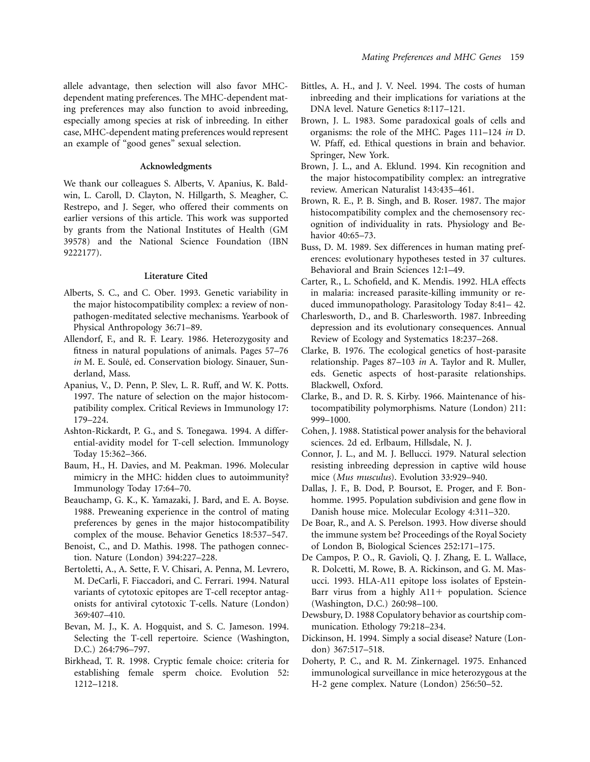allele advantage, then selection will also favor MHCdependent mating preferences. The MHC-dependent mating preferences may also function to avoid inbreeding, especially among species at risk of inbreeding. In either case, MHC-dependent mating preferences would represent an example of "good genes" sexual selection.

#### **Acknowledgments**

We thank our colleagues S. Alberts, V. Apanius, K. Baldwin, L. Caroll, D. Clayton, N. Hillgarth, S. Meagher, C. Restrepo, and J. Seger, who offered their comments on earlier versions of this article. This work was supported by grants from the National Institutes of Health (GM 39578) and the National Science Foundation (IBN 9222177).

# **Literature Cited**

- Alberts, S. C., and C. Ober. 1993. Genetic variability in the major histocompatibility complex: a review of nonpathogen-meditated selective mechanisms. Yearbook of Physical Anthropology 36:71–89.
- Allendorf, F., and R. F. Leary. 1986. Heterozygosity and fitness in natural populations of animals. Pages 57–76 *in* M. E. Soulé, ed. Conservation biology. Sinauer, Sunderland, Mass.
- Apanius, V., D. Penn, P. Slev, L. R. Ruff, and W. K. Potts. 1997. The nature of selection on the major histocompatibility complex. Critical Reviews in Immunology 17: 179–224.
- Ashton-Rickardt, P. G., and S. Tonegawa. 1994. A differential-avidity model for T-cell selection. Immunology Today 15:362–366.
- Baum, H., H. Davies, and M. Peakman. 1996. Molecular mimicry in the MHC: hidden clues to autoimmunity? Immunology Today 17:64–70.
- Beauchamp, G. K., K. Yamazaki, J. Bard, and E. A. Boyse. 1988. Preweaning experience in the control of mating preferences by genes in the major histocompatibility complex of the mouse. Behavior Genetics 18:537–547.
- Benoist, C., and D. Mathis. 1998. The pathogen connection. Nature (London) 394:227–228.
- Bertoletti, A., A. Sette, F. V. Chisari, A. Penna, M. Levrero, M. DeCarli, F. Fiaccadori, and C. Ferrari. 1994. Natural variants of cytotoxic epitopes are T-cell receptor antagonists for antiviral cytotoxic T-cells. Nature (London) 369:407–410.
- Bevan, M. J., K. A. Hogquist, and S. C. Jameson. 1994. Selecting the T-cell repertoire. Science (Washington, D.C.) 264:796–797.
- Birkhead, T. R. 1998. Cryptic female choice: criteria for establishing female sperm choice. Evolution 52: 1212–1218.
- Bittles, A. H., and J. V. Neel. 1994. The costs of human inbreeding and their implications for variations at the DNA level. Nature Genetics 8:117–121.
- Brown, J. L. 1983. Some paradoxical goals of cells and organisms: the role of the MHC. Pages 111–124 *in* D. W. Pfaff, ed. Ethical questions in brain and behavior. Springer, New York.
- Brown, J. L., and A. Eklund. 1994. Kin recognition and the major histocompatibility complex: an intregrative review. American Naturalist 143:435–461.
- Brown, R. E., P. B. Singh, and B. Roser. 1987. The major histocompatibility complex and the chemosensory recognition of individuality in rats. Physiology and Behavior 40:65–73.
- Buss, D. M. 1989. Sex differences in human mating preferences: evolutionary hypotheses tested in 37 cultures. Behavioral and Brain Sciences 12:1–49.
- Carter, R., L. Schofield, and K. Mendis. 1992. HLA effects in malaria: increased parasite-killing immunity or reduced immunopathology. Parasitology Today 8:41– 42.
- Charlesworth, D., and B. Charlesworth. 1987. Inbreeding depression and its evolutionary consequences. Annual Review of Ecology and Systematics 18:237–268.
- Clarke, B. 1976. The ecological genetics of host-parasite relationship. Pages 87–103 *in* A. Taylor and R. Muller, eds. Genetic aspects of host-parasite relationships. Blackwell, Oxford.
- Clarke, B., and D. R. S. Kirby. 1966. Maintenance of histocompatibility polymorphisms. Nature (London) 211: 999–1000.
- Cohen, J. 1988. Statistical power analysis for the behavioral sciences. 2d ed. Erlbaum, Hillsdale, N. J.
- Connor, J. L., and M. J. Bellucci. 1979. Natural selection resisting inbreeding depression in captive wild house mice (*Mus musculus*). Evolution 33:929–940.
- Dallas, J. F., B. Dod, P. Boursot, E. Proger, and F. Bonhomme. 1995. Population subdivision and gene flow in Danish house mice. Molecular Ecology 4:311–320.
- De Boar, R., and A. S. Perelson. 1993. How diverse should the immune system be? Proceedings of the Royal Society of London B, Biological Sciences 252:171–175.
- De Campos, P. O., R. Gavioli, Q. J. Zhang, E. L. Wallace, R. Dolcetti, M. Rowe, B. A. Rickinson, and G. M. Masucci. 1993. HLA-A11 epitope loss isolates of Epstein-Barr virus from a highly  $A11+$  population. Science (Washington, D.C.) 260:98–100.
- Dewsbury, D. 1988 Copulatory behavior as courtship communication. Ethology 79:218–234.
- Dickinson, H. 1994. Simply a social disease? Nature (London) 367:517–518.
- Doherty, P. C., and R. M. Zinkernagel. 1975. Enhanced immunological surveillance in mice heterozygous at the H-2 gene complex. Nature (London) 256:50–52.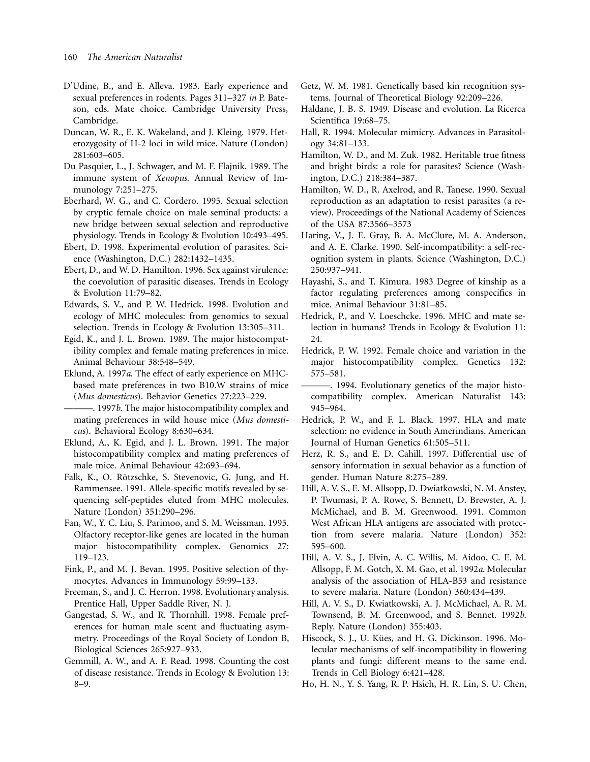- D'Udine, B., and E. Alleva. 1983. Early experience and sexual preferences in rodents. Pages 311–327 *in* P. Bateson, eds. Mate choice. Cambridge University Press, Cambridge.
- Duncan, W. R., E. K. Wakeland, and J. Kleing. 1979. Heterozygosity of H-2 loci in wild mice. Nature (London) 281:603–605.
- Du Pasquier, L., J. Schwager, and M. F. Flajnik. 1989. The immune system of *Xenopus*. Annual Review of Immunology 7:251–275.
- Eberhard, W. G., and C. Cordero. 1995. Sexual selection by cryptic female choice on male seminal products: a new bridge between sexual selection and reproductive physiology. Trends in Ecology & Evolution 10:493–495.
- Ebert, D. 1998. Experimental evolution of parasites. Science (Washington, D.C.) 282:1432–1435.
- Ebert, D., and W. D. Hamilton. 1996. Sex against virulence: the coevolution of parasitic diseases. Trends in Ecology & Evolution 11:79–82.
- Edwards, S. V., and P. W. Hedrick. 1998. Evolution and ecology of MHC molecules: from genomics to sexual selection. Trends in Ecology & Evolution 13:305–311.
- Egid, K., and J. L. Brown. 1989. The major histocompatibility complex and female mating preferences in mice. Animal Behaviour 38:548–549.
- Eklund, A. 1997*a*. The effect of early experience on MHCbased mate preferences in two B10.W strains of mice (*Mus domesticus*). Behavior Genetics 27:223–229.
	- ———. 1997*b*. The major histocompatibility complex and mating preferences in wild house mice (*Mus domesticus*). Behavioral Ecology 8:630–634.
- Eklund, A., K. Egid, and J. L. Brown. 1991. The major histocompatibility complex and mating preferences of male mice. Animal Behaviour 42:693–694.
- Falk, K., O. Rötzschke, S. Stevenovic, G. Jung, and H. Rammensee. 1991. Allele-specific motifs revealed by sequencing self-peptides eluted from MHC molecules. Nature (London) 351:290–296.
- Fan, W., Y. C. Liu, S. Parimoo, and S. M. Weissman. 1995. Olfactory receptor-like genes are located in the human major histocompatibility complex. Genomics 27: 119–123.
- Fink, P., and M. J. Bevan. 1995. Positive selection of thymocytes. Advances in Immunology 59:99–133.
- Freeman, S., and J. C. Herron. 1998. Evolutionary analysis. Prentice Hall, Upper Saddle River, N. J.
- Gangestad, S. W., and R. Thornhill. 1998. Female preferences for human male scent and fluctuating asymmetry. Proceedings of the Royal Society of London B, Biological Sciences 265:927–933.
- Gemmill, A. W., and A. F. Read. 1998. Counting the cost of disease resistance. Trends in Ecology & Evolution 13: 8–9.
- Getz, W. M. 1981. Genetically based kin recognition systems. Journal of Theoretical Biology 92:209–226.
- Haldane, J. B. S. 1949. Disease and evolution. La Ricerca Scientifica 19:68–75.
- Hall, R. 1994. Molecular mimicry. Advances in Parasitology 34:81–133.
- Hamilton, W. D., and M. Zuk. 1982. Heritable true fitness and bright birds: a role for parasites? Science (Washington, D.C.) 218:384–387.
- Hamilton, W. D., R. Axelrod, and R. Tanese. 1990. Sexual reproduction as an adaptation to resist parasites (a review). Proceedings of the National Academy of Sciences of the USA 87:3566–3573
- Haring, V., J. E. Gray, B. A. McClure, M. A. Anderson, and A. E. Clarke. 1990. Self-incompatibility: a self-recognition system in plants. Science (Washington, D.C.) 250:937–941.
- Hayashi, S., and T. Kimura. 1983 Degree of kinship as a factor regulating preferences among conspecifics in mice. Animal Behaviour 31:81–85.
- Hedrick, P., and V. Loeschcke. 1996. MHC and mate selection in humans? Trends in Ecology & Evolution 11: 24.
- Hedrick, P. W. 1992. Female choice and variation in the major histocompatibility complex. Genetics 132: 575–581.
- ———. 1994. Evolutionary genetics of the major histocompatibility complex. American Naturalist 143: 945–964.
- Hedrick, P. W., and F. L. Black. 1997. HLA and mate selection: no evidence in South Amerindians. American Journal of Human Genetics 61:505–511.
- Herz, R. S., and E. D. Cahill. 1997. Differential use of sensory information in sexual behavior as a function of gender. Human Nature 8:275–289.
- Hill, A. V. S., E. M. Allsopp, D. Dwiatkowski, N. M. Anstey, P. Twumasi, P. A. Rowe, S. Bennett, D. Brewster, A. J. McMichael, and B. M. Greenwood. 1991. Common West African HLA antigens are associated with protection from severe malaria. Nature (London) 352: 595–600.
- Hill, A. V. S., J. Elvin, A. C. Willis, M. Aidoo, C. E. M. Allsopp, F. M. Gotch, X. M. Gao, et al. 1992*a*. Molecular analysis of the association of HLA-B53 and resistance to severe malaria. Nature (London) 360:434–439.
- Hill, A. V. S., D. Kwiatkowski, A. J. McMichael, A. R. M. Townsend, B. M. Greenwood, and S. Bennet. 1992*b*. Reply. Nature (London) 355:403.
- Hiscock, S. J., U. Kües, and H. G. Dickinson. 1996. Molecular mechanisms of self-incompatibility in flowering plants and fungi: different means to the same end. Trends in Cell Biology 6:421–428.
- Ho, H. N., Y. S. Yang, R. P. Hsieh, H. R. Lin, S. U. Chen,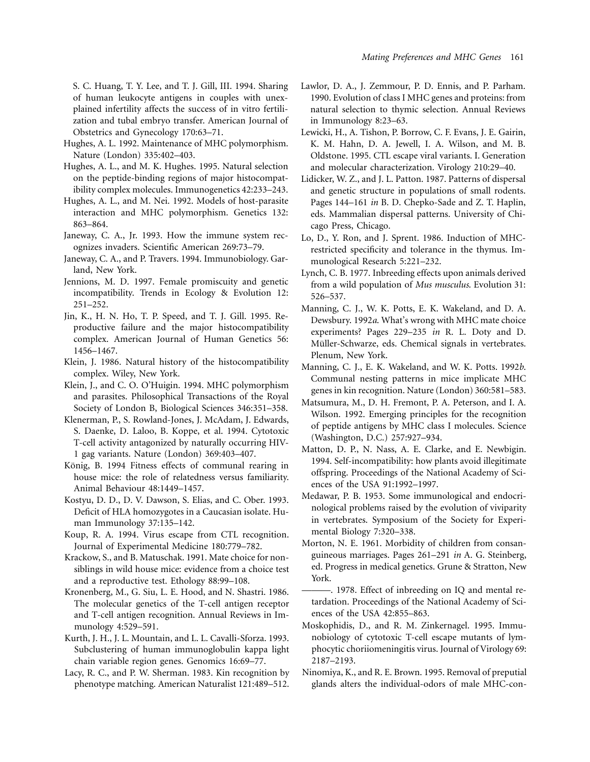S. C. Huang, T. Y. Lee, and T. J. Gill, III. 1994. Sharing of human leukocyte antigens in couples with unexplained infertility affects the success of in vitro fertilization and tubal embryo transfer. American Journal of Obstetrics and Gynecology 170:63–71.

- Hughes, A. L. 1992. Maintenance of MHC polymorphism. Nature (London) 335:402–403.
- Hughes, A. L., and M. K. Hughes. 1995. Natural selection on the peptide-binding regions of major histocompatibility complex molecules. Immunogenetics 42:233–243.
- Hughes, A. L., and M. Nei. 1992. Models of host-parasite interaction and MHC polymorphism. Genetics 132: 863–864.
- Janeway, C. A., Jr. 1993. How the immune system recognizes invaders. Scientific American 269:73–79.
- Janeway, C. A., and P. Travers. 1994. Immunobiology. Garland, New York.
- Jennions, M. D. 1997. Female promiscuity and genetic incompatibility. Trends in Ecology & Evolution 12: 251–252.
- Jin, K., H. N. Ho, T. P. Speed, and T. J. Gill. 1995. Reproductive failure and the major histocompatibility complex. American Journal of Human Genetics 56: 1456–1467.
- Klein, J. 1986. Natural history of the histocompatibility complex. Wiley, New York.
- Klein, J., and C. O. O'Huigin. 1994. MHC polymorphism and parasites. Philosophical Transactions of the Royal Society of London B, Biological Sciences 346:351–358.
- Klenerman, P., S. Rowland-Jones, J. McAdam, J. Edwards, S. Daenke, D. Laloo, B. Koppe, et al. 1994. Cytotoxic T-cell activity antagonized by naturally occurring HIV-1 gag variants. Nature (London) 369:403–407.
- König, B. 1994 Fitness effects of communal rearing in house mice: the role of relatedness versus familiarity. Animal Behaviour 48:1449–1457.
- Kostyu, D. D., D. V. Dawson, S. Elias, and C. Ober. 1993. Deficit of HLA homozygotes in a Caucasian isolate. Human Immunology 37:135–142.
- Koup, R. A. 1994. Virus escape from CTL recognition. Journal of Experimental Medicine 180:779–782.
- Krackow, S., and B. Matuschak. 1991. Mate choice for nonsiblings in wild house mice: evidence from a choice test and a reproductive test. Ethology 88:99–108.
- Kronenberg, M., G. Siu, L. E. Hood, and N. Shastri. 1986. The molecular genetics of the T-cell antigen receptor and T-cell antigen recognition. Annual Reviews in Immunology 4:529–591.
- Kurth, J. H., J. L. Mountain, and L. L. Cavalli-Sforza. 1993. Subclustering of human immunoglobulin kappa light chain variable region genes. Genomics 16:69–77.
- Lacy, R. C., and P. W. Sherman. 1983. Kin recognition by phenotype matching. American Naturalist 121:489–512.
- Lawlor, D. A., J. Zemmour, P. D. Ennis, and P. Parham. 1990. Evolution of class I MHC genes and proteins: from natural selection to thymic selection. Annual Reviews in Immunology 8:23–63.
- Lewicki, H., A. Tishon, P. Borrow, C. F. Evans, J. E. Gairin, K. M. Hahn, D. A. Jewell, I. A. Wilson, and M. B. Oldstone. 1995. CTL escape viral variants. I. Generation and molecular characterization. Virology 210:29–40.
- Lidicker, W. Z., and J. L. Patton. 1987. Patterns of dispersal and genetic structure in populations of small rodents. Pages 144–161 *in* B. D. Chepko-Sade and Z. T. Haplin, eds. Mammalian dispersal patterns. University of Chicago Press, Chicago.
- Lo, D., Y. Ron, and J. Sprent. 1986. Induction of MHCrestricted specificity and tolerance in the thymus. Immunological Research 5:221–232.
- Lynch, C. B. 1977. Inbreeding effects upon animals derived from a wild population of *Mus musculus*. Evolution 31: 526–537.
- Manning, C. J., W. K. Potts, E. K. Wakeland, and D. A. Dewsbury. 1992*a*. What's wrong with MHC mate choice experiments? Pages 229–235 *in* R. L. Doty and D. Müller-Schwarze, eds. Chemical signals in vertebrates. Plenum, New York.
- Manning, C. J., E. K. Wakeland, and W. K. Potts. 1992*b*. Communal nesting patterns in mice implicate MHC genes in kin recognition. Nature (London) 360:581–583.
- Matsumura, M., D. H. Fremont, P. A. Peterson, and I. A. Wilson. 1992. Emerging principles for the recognition of peptide antigens by MHC class I molecules. Science (Washington, D.C.) 257:927–934.
- Matton, D. P., N. Nass, A. E. Clarke, and E. Newbigin. 1994. Self-incompatibility: how plants avoid illegitimate offspring. Proceedings of the National Academy of Sciences of the USA 91:1992–1997.
- Medawar, P. B. 1953. Some immunological and endocrinological problems raised by the evolution of viviparity in vertebrates. Symposium of the Society for Experimental Biology 7:320–338.
- Morton, N. E. 1961. Morbidity of children from consanguineous marriages. Pages 261–291 *in* A. G. Steinberg, ed. Progress in medical genetics. Grune & Stratton, New York.
- -. 1978. Effect of inbreeding on IQ and mental retardation. Proceedings of the National Academy of Sciences of the USA 42:855–863.
- Moskophidis, D., and R. M. Zinkernagel. 1995. Immunobiology of cytotoxic T-cell escape mutants of lymphocytic choriiomeningitis virus. Journal of Virology 69: 2187–2193.
- Ninomiya, K., and R. E. Brown. 1995. Removal of preputial glands alters the individual-odors of male MHC-con-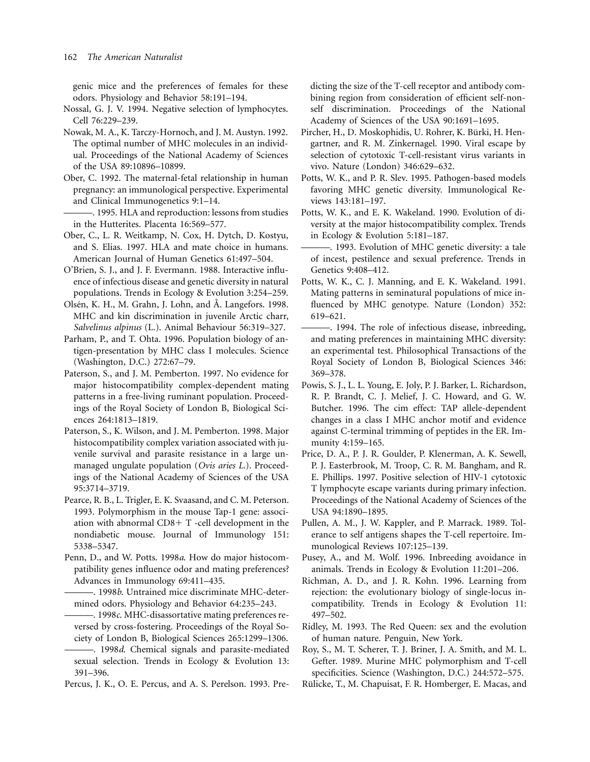genic mice and the preferences of females for these odors. Physiology and Behavior 58:191–194.

- Nossal, G. J. V. 1994. Negative selection of lymphocytes. Cell 76:229–239.
- Nowak, M. A., K. Tarczy-Hornoch, and J. M. Austyn. 1992. The optimal number of MHC molecules in an individual. Proceedings of the National Academy of Sciences of the USA 89:10896–10899.
- Ober, C. 1992. The maternal-fetal relationship in human pregnancy: an immunological perspective. Experimental and Clinical Immunogenetics 9:1–14.
- ———. 1995. HLA and reproduction: lessons from studies in the Hutterites. Placenta 16:569–577.
- Ober, C., L. R. Weitkamp, N. Cox, H. Dytch, D. Kostyu, and S. Elias. 1997. HLA and mate choice in humans. American Journal of Human Genetics 61:497–504.
- O'Brien, S. J., and J. F. Evermann. 1988. Interactive influence of infectious disease and genetic diversity in natural populations. Trends in Ecology & Evolution 3:254–259.
- Olsén, K. H., M. Grahn, J. Lohn, and Å. Langefors. 1998. MHC and kin discrimination in juvenile Arctic charr, *Salvelinus alpinus* (L.). Animal Behaviour 56:319–327.
- Parham, P., and T. Ohta. 1996. Population biology of antigen-presentation by MHC class I molecules. Science (Washington, D.C.) 272:67–79.
- Paterson, S., and J. M. Pemberton. 1997. No evidence for major histocompatibility complex-dependent mating patterns in a free-living ruminant population. Proceedings of the Royal Society of London B, Biological Sciences 264:1813–1819.
- Paterson, S., K. Wilson, and J. M. Pemberton. 1998. Major histocompatibility complex variation associated with juvenile survival and parasite resistance in a large unmanaged ungulate population (*Ovis aries L.*). Proceedings of the National Academy of Sciences of the USA 95:3714–3719.
- Pearce, R. B., L. Trigler, E. K. Svaasand, and C. M. Peterson. 1993. Polymorphism in the mouse Tap-1 gene: association with abnormal CD8+  $T$  -cell development in the nondiabetic mouse. Journal of Immunology 151: 5338–5347.
- Penn, D., and W. Potts. 1998*a*. How do major histocompatibility genes influence odor and mating preferences? Advances in Immunology 69:411–435.
- ———. 1998*b*. Untrained mice discriminate MHC-determined odors. Physiology and Behavior 64:235–243.
- ———. 1998*c*. MHC-disassortative mating preferences reversed by cross-fostering. Proceedings of the Royal Society of London B, Biological Sciences 265:1299–1306.
- ———. 1998*d*. Chemical signals and parasite-mediated sexual selection. Trends in Ecology & Evolution 13: 391–396.
- Percus, J. K., O. E. Percus, and A. S. Perelson. 1993. Pre-

dicting the size of the T-cell receptor and antibody combining region from consideration of efficient self-nonself discrimination. Proceedings of the National Academy of Sciences of the USA 90:1691–1695.

- Pircher, H., D. Moskophidis, U. Rohrer, K. Bürki, H. Hengartner, and R. M. Zinkernagel. 1990. Viral escape by selection of cytotoxic T-cell-resistant virus variants in vivo. Nature (London) 346:629–632.
- Potts, W. K., and P. R. Slev. 1995. Pathogen-based models favoring MHC genetic diversity. Immunological Reviews 143:181–197.
- Potts, W. K., and E. K. Wakeland. 1990. Evolution of diversity at the major histocompatibility complex. Trends in Ecology & Evolution 5:181–187.
- ———. 1993. Evolution of MHC genetic diversity: a tale of incest, pestilence and sexual preference. Trends in Genetics 9:408–412.
- Potts, W. K., C. J. Manning, and E. K. Wakeland. 1991. Mating patterns in seminatural populations of mice influenced by MHC genotype. Nature (London) 352: 619–621.
- ———. 1994. The role of infectious disease, inbreeding, and mating preferences in maintaining MHC diversity: an experimental test. Philosophical Transactions of the Royal Society of London B, Biological Sciences 346: 369–378.
- Powis, S. J., L. L. Young, E. Joly, P. J. Barker, L. Richardson, R. P. Brandt, C. J. Melief, J. C. Howard, and G. W. Butcher. 1996. The cim effect: TAP allele-dependent changes in a class I MHC anchor motif and evidence against C-terminal trimming of peptides in the ER. Immunity 4:159–165.
- Price, D. A., P. J. R. Goulder, P. Klenerman, A. K. Sewell, P. J. Easterbrook, M. Troop, C. R. M. Bangham, and R. E. Phillips. 1997. Positive selection of HIV-1 cytotoxic T lymphocyte escape variants during primary infection. Proceedings of the National Academy of Sciences of the USA 94:1890–1895.
- Pullen, A. M., J. W. Kappler, and P. Marrack. 1989. Tolerance to self antigens shapes the T-cell repertoire. Immunological Reviews 107:125–139.
- Pusey, A., and M. Wolf. 1996. Inbreeding avoidance in animals. Trends in Ecology & Evolution 11:201–206.
- Richman, A. D., and J. R. Kohn. 1996. Learning from rejection: the evolutionary biology of single-locus incompatibility. Trends in Ecology & Evolution 11: 497–502.
- Ridley, M. 1993. The Red Queen: sex and the evolution of human nature. Penguin, New York.
- Roy, S., M. T. Scherer, T. J. Briner, J. A. Smith, and M. L. Gefter. 1989. Murine MHC polymorphism and T-cell specificities. Science (Washington, D.C.) 244:572–575.
- Rülicke, T., M. Chapuisat, F. R. Homberger, E. Macas, and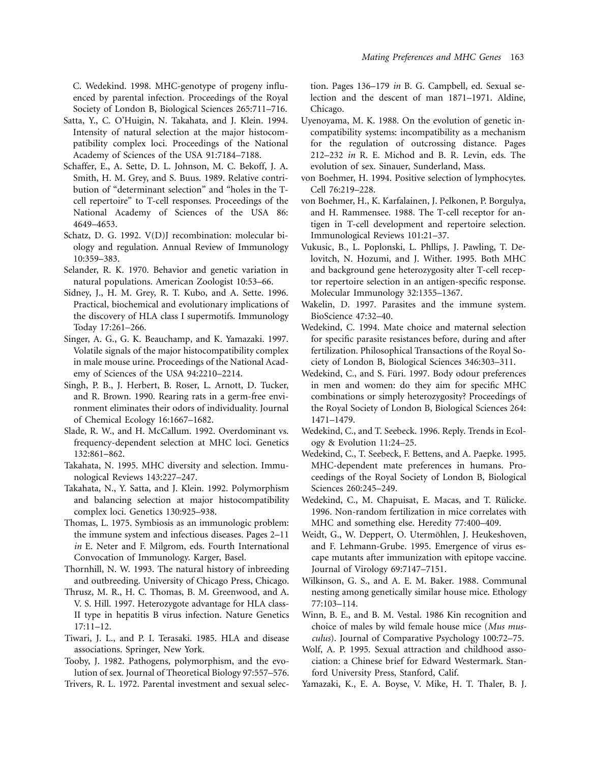C. Wedekind. 1998. MHC-genotype of progeny influenced by parental infection. Proceedings of the Royal Society of London B, Biological Sciences 265:711–716.

- Satta, Y., C. O'Huigin, N. Takahata, and J. Klein. 1994. Intensity of natural selection at the major histocompatibility complex loci. Proceedings of the National Academy of Sciences of the USA 91:7184–7188.
- Schaffer, E., A. Sette, D. L. Johnson, M. C. Bekoff, J. A. Smith, H. M. Grey, and S. Buus. 1989. Relative contribution of "determinant selection" and "holes in the Tcell repertoire" to T-cell responses. Proceedings of the National Academy of Sciences of the USA 86: 4649–4653.
- Schatz, D. G. 1992. V(D)J recombination: molecular biology and regulation. Annual Review of Immunology 10:359–383.
- Selander, R. K. 1970. Behavior and genetic variation in natural populations. American Zoologist 10:53–66.
- Sidney, J., H. M. Grey, R. T. Kubo, and A. Sette. 1996. Practical, biochemical and evolutionary implications of the discovery of HLA class I supermotifs. Immunology Today 17:261–266.
- Singer, A. G., G. K. Beauchamp, and K. Yamazaki. 1997. Volatile signals of the major histocompatibility complex in male mouse urine. Proceedings of the National Academy of Sciences of the USA 94:2210–2214.
- Singh, P. B., J. Herbert, B. Roser, L. Arnott, D. Tucker, and R. Brown. 1990. Rearing rats in a germ-free environment eliminates their odors of individuality. Journal of Chemical Ecology 16:1667–1682.
- Slade, R. W., and H. McCallum. 1992. Overdominant vs. frequency-dependent selection at MHC loci. Genetics 132:861–862.
- Takahata, N. 1995. MHC diversity and selection. Immunological Reviews 143:227–247.
- Takahata, N., Y. Satta, and J. Klein. 1992. Polymorphism and balancing selection at major histocompatibility complex loci. Genetics 130:925–938.
- Thomas, L. 1975. Symbiosis as an immunologic problem: the immune system and infectious diseases. Pages 2–11 *in* E. Neter and F. Milgrom, eds. Fourth International Convocation of Immunology. Karger, Basel.
- Thornhill, N. W. 1993. The natural history of inbreeding and outbreeding. University of Chicago Press, Chicago.
- Thrusz, M. R., H. C. Thomas, B. M. Greenwood, and A. V. S. Hill. 1997. Heterozygote advantage for HLA class-II type in hepatitis B virus infection. Nature Genetics 17:11–12.
- Tiwari, J. L., and P. I. Terasaki. 1985. HLA and disease associations. Springer, New York.
- Tooby, J. 1982. Pathogens, polymorphism, and the evolution of sex. Journal of Theoretical Biology 97:557–576.
- Trivers, R. L. 1972. Parental investment and sexual selec-

tion. Pages 136–179 *in* B. G. Campbell, ed. Sexual selection and the descent of man 1871–1971. Aldine, Chicago.

- Uyenoyama, M. K. 1988. On the evolution of genetic incompatibility systems: incompatibility as a mechanism for the regulation of outcrossing distance. Pages 212–232 *in* R. E. Michod and B. R. Levin, eds. The evolution of sex. Sinauer, Sunderland, Mass.
- von Boehmer, H. 1994. Positive selection of lymphocytes. Cell 76:219–228.
- von Boehmer, H., K. Karfalainen, J. Pelkonen, P. Borgulya, and H. Rammensee. 1988. The T-cell receptor for antigen in T-cell development and repertoire selection. Immunological Reviews 101:21–37.
- Vukusic, B., L. Poplonski, L. Phllips, J. Pawling, T. Delovitch, N. Hozumi, and J. Wither. 1995. Both MHC and background gene heterozygosity alter T-cell receptor repertoire selection in an antigen-specific response. Molecular Immunology 32:1355–1367.
- Wakelin, D. 1997. Parasites and the immune system. BioScience 47:32–40.
- Wedekind, C. 1994. Mate choice and maternal selection for specific parasite resistances before, during and after fertilization. Philosophical Transactions of the Royal Society of London B, Biological Sciences 346:303–311.
- Wedekind, C., and S. Füri. 1997. Body odour preferences in men and women: do they aim for specific MHC combinations or simply heterozygosity? Proceedings of the Royal Society of London B, Biological Sciences 264: 1471–1479.
- Wedekind, C., and T. Seebeck. 1996. Reply. Trends in Ecology & Evolution 11:24–25.
- Wedekind, C., T. Seebeck, F. Bettens, and A. Paepke. 1995. MHC-dependent mate preferences in humans. Proceedings of the Royal Society of London B, Biological Sciences 260:245–249.
- Wedekind, C., M. Chapuisat, E. Macas, and T. Rülicke. 1996. Non-random fertilization in mice correlates with MHC and something else. Heredity 77:400–409.
- Weidt, G., W. Deppert, O. Utermöhlen, J. Heukeshoven, and F. Lehmann-Grube. 1995. Emergence of virus escape mutants after immunization with epitope vaccine. Journal of Virology 69:7147–7151.
- Wilkinson, G. S., and A. E. M. Baker. 1988. Communal nesting among genetically similar house mice. Ethology 77:103–114.
- Winn, B. E., and B. M. Vestal. 1986 Kin recognition and choice of males by wild female house mice (*Mus musculus*). Journal of Comparative Psychology 100:72–75.
- Wolf, A. P. 1995. Sexual attraction and childhood association: a Chinese brief for Edward Westermark. Stanford University Press, Stanford, Calif.
- Yamazaki, K., E. A. Boyse, V. Mike, H. T. Thaler, B. J.